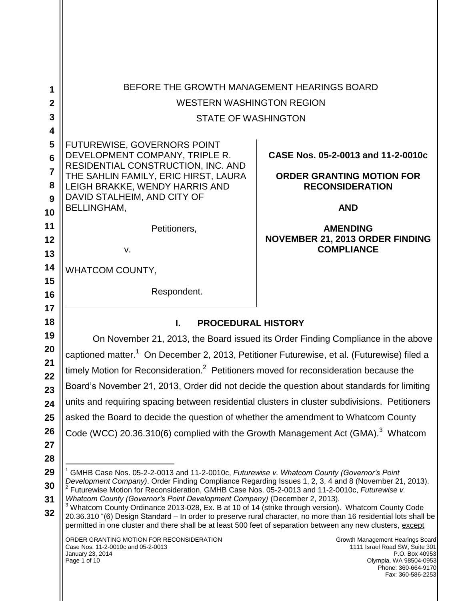| 1                    | BEFORE THE GROWTH MANAGEMENT HEARINGS BOARD                                                                                                                                                                                                                                                                                                                                                                                      |                                                                                                                |  |
|----------------------|----------------------------------------------------------------------------------------------------------------------------------------------------------------------------------------------------------------------------------------------------------------------------------------------------------------------------------------------------------------------------------------------------------------------------------|----------------------------------------------------------------------------------------------------------------|--|
| $\boldsymbol{2}$     | <b>WESTERN WASHINGTON REGION</b>                                                                                                                                                                                                                                                                                                                                                                                                 |                                                                                                                |  |
| 3                    | <b>STATE OF WASHINGTON</b>                                                                                                                                                                                                                                                                                                                                                                                                       |                                                                                                                |  |
| 4                    |                                                                                                                                                                                                                                                                                                                                                                                                                                  |                                                                                                                |  |
| 5<br>$6\phantom{1}6$ | FUTUREWISE, GOVERNORS POINT<br>DEVELOPMENT COMPANY, TRIPLE R.<br>RESIDENTIAL CONSTRUCTION, INC. AND                                                                                                                                                                                                                                                                                                                              | CASE Nos. 05-2-0013 and 11-2-0010c                                                                             |  |
| $\overline{7}$<br>8  | THE SAHLIN FAMILY, ERIC HIRST, LAURA<br>LEIGH BRAKKE, WENDY HARRIS AND                                                                                                                                                                                                                                                                                                                                                           | <b>ORDER GRANTING MOTION FOR</b><br><b>RECONSIDERATION</b>                                                     |  |
| 9<br>10              | DAVID STALHEIM, AND CITY OF<br><b>BELLINGHAM,</b>                                                                                                                                                                                                                                                                                                                                                                                | <b>AND</b>                                                                                                     |  |
| 11<br>12             | Petitioners,<br>v.                                                                                                                                                                                                                                                                                                                                                                                                               | <b>AMENDING</b><br><b>NOVEMBER 21, 2013 ORDER FINDING</b><br><b>COMPLIANCE</b>                                 |  |
| 13                   |                                                                                                                                                                                                                                                                                                                                                                                                                                  |                                                                                                                |  |
| 14<br>15             | WHATCOM COUNTY,                                                                                                                                                                                                                                                                                                                                                                                                                  |                                                                                                                |  |
| 16                   | Respondent.                                                                                                                                                                                                                                                                                                                                                                                                                      |                                                                                                                |  |
| 17                   |                                                                                                                                                                                                                                                                                                                                                                                                                                  |                                                                                                                |  |
| 18                   | I.<br><b>PROCEDURAL HISTORY</b>                                                                                                                                                                                                                                                                                                                                                                                                  |                                                                                                                |  |
| 19                   |                                                                                                                                                                                                                                                                                                                                                                                                                                  | On November 21, 2013, the Board issued its Order Finding Compliance in the above                               |  |
| 20                   | captioned matter. <sup>1</sup> On December 2, 2013, Petitioner Futurewise, et al. (Futurewise) filed a                                                                                                                                                                                                                                                                                                                           |                                                                                                                |  |
| 21<br>22             | timely Motion for Reconsideration. <sup>2</sup> Petitioners moved for reconsideration because the                                                                                                                                                                                                                                                                                                                                |                                                                                                                |  |
| 23                   | Board's November 21, 2013, Order did not decide the question about standards for limiting                                                                                                                                                                                                                                                                                                                                        |                                                                                                                |  |
| 24                   | units and requiring spacing between residential clusters in cluster subdivisions. Petitioners                                                                                                                                                                                                                                                                                                                                    |                                                                                                                |  |
| 25                   | asked the Board to decide the question of whether the amendment to Whatcom County                                                                                                                                                                                                                                                                                                                                                |                                                                                                                |  |
| 26                   | Code (WCC) 20.36.310(6) complied with the Growth Management Act (GMA). <sup>3</sup> Whatcom                                                                                                                                                                                                                                                                                                                                      |                                                                                                                |  |
| 27                   |                                                                                                                                                                                                                                                                                                                                                                                                                                  |                                                                                                                |  |
| 28<br>29<br>30       | GMHB Case Nos. 05-2-2-0013 and 11-2-0010c, Futurewise v. Whatcom County (Governor's Point<br>Development Company). Order Finding Compliance Regarding Issues 1, 2, 3, 4 and 8 (November 21, 2013).<br>$2$ Futurewise Motion for Reconsideration, GMHB Case Nos. 05-2-0013 and 11-2-0010c, Futurewise v.                                                                                                                          |                                                                                                                |  |
| 31<br>32             | Whatcom County (Governor's Point Development Company) (December 2, 2013).<br><sup>3</sup> Whatcom County Ordinance 2013-028, Ex. B at 10 of 14 (strike through version). Whatcom County Code<br>20.36.310 "(6) Design Standard – In order to preserve rural character, no more than 16 residential lots shall be<br>permitted in one cluster and there shall be at least 500 feet of separation between any new clusters, except |                                                                                                                |  |
|                      | ORDER GRANTING MOTION FOR RECONSIDERATION<br>Case Nos. 11-2-0010c and 05-2-0013<br>January 23, 2014<br>Page 1 of 10                                                                                                                                                                                                                                                                                                              | Growth Management Hearings Board<br>1111 Israel Road SW, Suite 301<br>P.O. Box 40953<br>Olympia, WA 98504-0953 |  |

 $\mathbf{\mathsf{H}}$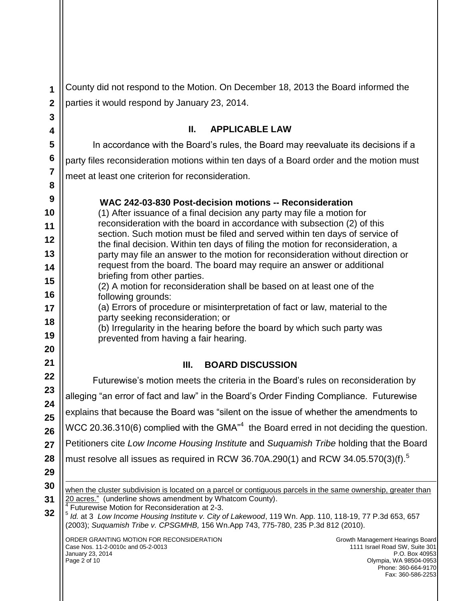**1 2** County did not respond to the Motion. On December 18, 2013 the Board informed the parties it would respond by January 23, 2014.

## **II. APPLICABLE LAW**

In accordance with the Board's rules, the Board may reevaluate its decisions if a party files reconsideration motions within ten days of a Board order and the motion must meet at least one criterion for reconsideration.

#### **WAC 242-03-830 Post-decision motions -- Reconsideration**

(1) After issuance of a final decision any party may file a motion for reconsideration with the board in accordance with subsection (2) of this section. Such motion must be filed and served within ten days of service of the final decision. Within ten days of filing the motion for reconsideration, a party may file an answer to the motion for reconsideration without direction or request from the board. The board may require an answer or additional briefing from other parties.

- **15 16** (2) A motion for reconsideration shall be based on at least one of the following grounds:
	- (a) Errors of procedure or misinterpretation of fact or law, material to the party seeking reconsideration; or

(b) Irregularity in the hearing before the board by which such party was prevented from having a fair hearing.

## **III. BOARD DISCUSSION**

Futurewise's motion meets the criteria in the Board's rules on reconsideration by alleging "an error of fact and law" in the Board's Order Finding Compliance. Futurewise explains that because the Board was "silent on the issue of whether the amendments to WCC 20.36.310(6) complied with the GMA $n^4$  the Board erred in not deciding the question. Petitioners cite *Low Income Housing Institute* and *Suquamish Tribe* holding that the Board must resolve all issues as required in RCW 36.70A.290(1) and RCW 34.05.570(3)(f). $^5$  $\overline{a}$ 

**30 31**

**32**

> when the cluster subdivision is located on a parcel or contiguous parcels in the same ownership, greater than 20 acres." (underline shows amendment by Whatcom County).

4 Futurewise Motion for Reconsideration at 2-3.

5 *Id.* at 3 *Low Income Housing Institute v. City of Lakewood*, 119 Wn. App. 110, 118-19, 77 P.3d 653, 657 (2003); *Suquamish Tribe v. CPSGMHB,* 156 Wn.App 743, 775-780, 235 P.3d 812 (2010).

ORDER GRANTING MOTION FOR RECONSIDERATION Case Nos. 11-2-0010c and 05-2-0013 January 23, 2014 Page 2 of 10

Growth Management Hearings Board 1111 Israel Road SW, Suite 301 P.O. Box 40953 Olympia, WA 98504-0953 Phone: 360-664-9170 Fax: 360-586-2253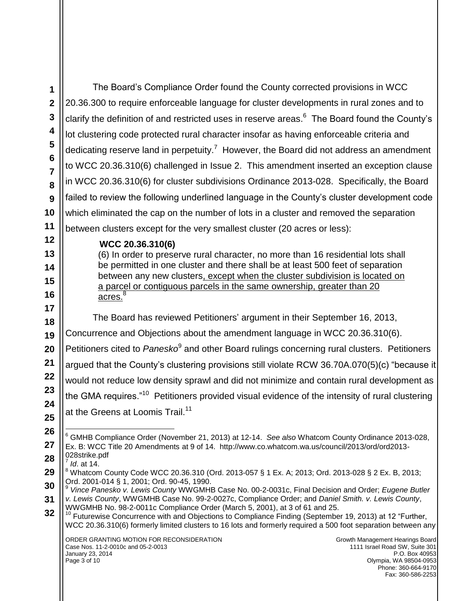The Board's Compliance Order found the County corrected provisions in WCC 20.36.300 to require enforceable language for cluster developments in rural zones and to clarify the definition of and restricted uses in reserve areas.<sup>6</sup> The Board found the County's lot clustering code protected rural character insofar as having enforceable criteria and dedicating reserve land in perpetuity.<sup>7</sup> However, the Board did not address an amendment to WCC 20.36.310(6) challenged in Issue 2. This amendment inserted an exception clause in WCC 20.36.310(6) for cluster subdivisions Ordinance 2013-028. Specifically, the Board failed to review the following underlined language in the County's cluster development code which eliminated the cap on the number of lots in a cluster and removed the separation between clusters except for the very smallest cluster (20 acres or less):

#### **WCC 20.36.310(6)**

(6) In order to preserve rural character, no more than 16 residential lots shall be permitted in one cluster and there shall be at least 500 feet of separation between any new clusters, except when the cluster subdivision is located on a parcel or contiguous parcels in the same ownership, greater than 20 acres.<sup>8</sup>

The Board has reviewed Petitioners' argument in their September 16, 2013, Concurrence and Objections about the amendment language in WCC 20.36.310(6). Petitioners cited to Panesko<sup>9</sup> and other Board rulings concerning rural clusters. Petitioners argued that the County's clustering provisions still violate RCW 36.70A.070(5)(c) "because it would not reduce low density sprawl and did not minimize and contain rural development as the GMA requires."<sup>10</sup> Petitioners provided visual evidence of the intensity of rural clustering at the Greens at Loomis Trail.<sup>11</sup>

7 *Id*. at 14.

 $\overline{a}$ <sup>6</sup> GMHB Compliance Order (November 21, 2013) at 12-14. *See also* Whatcom County Ordinance 2013-028, Ex. B: WCC Title 20 Amendments at 9 of 14. [http://www.co.whatcom.wa.us/council/2013/ord/ord2013-](http://www.co.whatcom.wa.us/council/2013/ord/ord2013-028strike.pdf) [028strike.pdf](http://www.co.whatcom.wa.us/council/2013/ord/ord2013-028strike.pdf)

<sup>8</sup> Whatcom County Code WCC 20.36.310 (Ord. 2013-057 § 1 Ex. A; 2013; Ord. 2013-028 § 2 Ex. B, 2013; Ord. 2001-014 § 1, 2001; Ord. 90-45, 1990.

<sup>9</sup> *Vince Panesko v. Lewis County* WWGMHB Case No. 00-2-0031c, Final Decision and Order; *Eugene Butler v. Lewis County*, WWGMHB Case No. 99-2-0027c, Compliance Order; and *Daniel Smith. v. Lewis County*, WWGMHB No. 98-2-0011c Compliance Order (March 5, 2001), at 3 of 61 and 25.

 $10$  Futurewise Concurrence with and Objections to Compliance Finding (September 19, 2013) at 12 "Further, WCC 20.36.310(6) formerly limited clusters to 16 lots and formerly required a 500 foot separation between any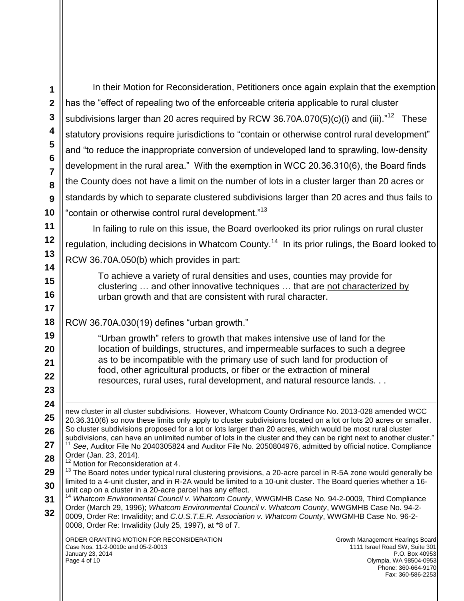ORDER GRANTING MOTION FOR RECONSIDERATION Case Nos. 11-2-0010c and 05-2-0013 January 23, 2014 Page 4 of 10 Growth Management Hearings Board 1111 Israel Road SW, Suite 301 P.O. Box 40953 Olympia, WA 98504-0953 Phone: 360-664-9170 Fax: 360-586-2253 **1 2 3 4 5 6 7 8 9 10 11 12 13 14 15 16 17 18 19 20 21 22 23 24 25 26 27 28 29 30 31 32** In their Motion for Reconsideration, Petitioners once again explain that the exemption has the "effect of repealing two of the enforceable criteria applicable to rural cluster subdivisions larger than 20 acres required by RCW 36.70A.070(5)(c)(i) and (iii)."<sup>12</sup> These statutory provisions require jurisdictions to "contain or otherwise control rural development" and "to reduce the inappropriate conversion of undeveloped land to sprawling, low-density development in the rural area." With the exemption in WCC 20.36.310(6), the Board finds the County does not have a limit on the number of lots in a cluster larger than 20 acres or standards by which to separate clustered subdivisions larger than 20 acres and thus fails to "contain or otherwise control rural development."<sup>13</sup> In failing to rule on this issue, the Board overlooked its prior rulings on rural cluster regulation, including decisions in Whatcom County.<sup>14</sup> In its prior rulings, the Board looked to RCW 36.70A.050(b) which provides in part: To achieve a variety of rural densities and uses, counties may provide for clustering … and other innovative techniques … that are not characterized by urban growth and that are consistent with rural character. RCW 36.70A.030(19) defines "urban growth." "Urban growth" refers to growth that makes intensive use of land for the location of buildings, structures, and impermeable surfaces to such a degree as to be incompatible with the primary use of such land for production of food, other agricultural products, or fiber or the extraction of mineral resources, rural uses, rural development, and natural resource lands. . .  $\overline{a}$ new cluster in all cluster subdivisions. However, Whatcom County Ordinance No. 2013-028 amended WCC 20.36.310(6) so now these limits only apply to cluster subdivisions located on a lot or lots 20 acres or smaller. So cluster subdivisions proposed for a lot or lots larger than 20 acres, which would be most rural cluster subdivisions, can have an unlimited number of lots in the cluster and they can be right next to another cluster." <sup>11</sup> *See*, Auditor File No 2040305824 and Auditor File No. 2050804976, admitted by official notice. Compliance Order (Jan. 23, 2014). <sup>12</sup> Motion for Reconsideration at 4. <sup>13</sup> The Board notes under typical rural clustering provisions, a 20-acre parcel in R-5A zone would generally be limited to a 4-unit cluster, and in R-2A would be limited to a 10-unit cluster. The Board queries whether a 16 unit cap on a cluster in a 20-acre parcel has any effect. <sup>14</sup> *Whatcom Environmental Council v. Whatcom County*, WWGMHB Case No. 94-2-0009, Third Compliance Order (March 29, 1996); *Whatcom Environmental Council v. Whatcom County*, WWGMHB Case No. 94-2- 0009, Order Re: Invalidity; and *C.U.S.T.E.R. Association v. Whatcom County*, WWGMHB Case No. 96-2- 0008, Order Re: Invalidity (July 25, 1997), at \*8 of 7.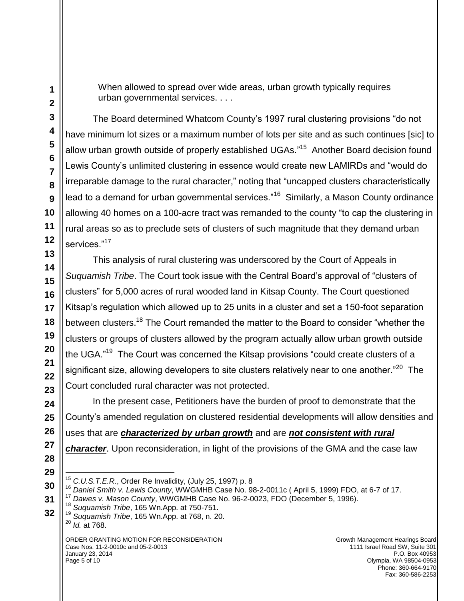When allowed to spread over wide areas, urban growth typically requires urban governmental services. . . .

The Board determined Whatcom County's 1997 rural clustering provisions "do not have minimum lot sizes or a maximum number of lots per site and as such continues [sic] to allow urban growth outside of properly established UGAs."<sup>15</sup> Another Board decision found Lewis County's unlimited clustering in essence would create new LAMIRDs and "would do irreparable damage to the rural character," noting that "uncapped clusters characteristically lead to a demand for urban governmental services."<sup>16</sup> Similarly, a Mason County ordinance allowing 40 homes on a 100-acre tract was remanded to the county "to cap the clustering in rural areas so as to preclude sets of clusters of such magnitude that they demand urban services."<sup>17</sup>

This analysis of rural clustering was underscored by the Court of Appeals in *Suquamish Tribe*. The Court took issue with the Central Board's approval of "clusters of clusters" for 5,000 acres of rural wooded land in Kitsap County. The Court questioned Kitsap's regulation which allowed up to 25 units in a cluster and set a 150-foot separation between clusters.<sup>18</sup> The Court remanded the matter to the Board to consider "whether the clusters or groups of clusters allowed by the program actually allow urban growth outside the UGA."<sup>19</sup> The Court was concerned the Kitsap provisions "could create clusters of a significant size, allowing developers to site clusters relatively near to one another."<sup>20</sup> The Court concluded rural character was not protected.

In the present case, Petitioners have the burden of proof to demonstrate that the County's amended regulation on clustered residential developments will allow densities and uses that are *characterized by urban growth* and are *not consistent with rural character*. Upon reconsideration, in light of the provisions of the GMA and the case law

 $\overline{a}$ <sup>15</sup> *C.U.S.T.E.R*., Order Re Invalidity, (July 25, 1997) p. 8

<sup>16</sup> *Daniel Smith v. Lewis County*, WWGMHB Case No. 98-2-0011c ( April 5, 1999) FDO, at 6-7 of 17.

<sup>17</sup> *Dawes v. Mason County*, WWGMHB Case No. 96-2-0023, FDO (December 5, 1996).

<sup>18</sup> *Suquamish Tribe*, 165 Wn.App. at 750-751.

<sup>19</sup> *Suquamish Tribe*, 165 Wn.App. at 768, n. 20. <sup>20</sup> *Id.* at 768.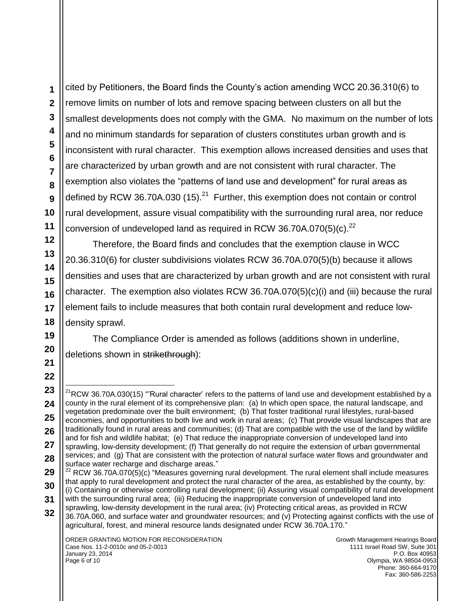cited by Petitioners, the Board finds the County's action amending WCC 20.36.310(6) to remove limits on number of lots and remove spacing between clusters on all but the smallest developments does not comply with the GMA. No maximum on the number of lots and no minimum standards for separation of clusters constitutes urban growth and is inconsistent with rural character. This exemption allows increased densities and uses that are characterized by urban growth and are not consistent with rural character. The exemption also violates the "patterns of land use and development" for rural areas as defined by RCW 36.70A.030 (15). $^{21}$  Further, this exemption does not contain or control rural development, assure visual compatibility with the surrounding rural area, nor reduce conversion of undeveloped land as required in RCW 36.70A.070(5)(c).<sup>22</sup>

Therefore, the Board finds and concludes that the exemption clause in WCC 20.36.310(6) for cluster subdivisions violates RCW 36.70A.070(5)(b) because it allows densities and uses that are characterized by urban growth and are not consistent with rural character. The exemption also violates RCW 36.70A.070(5)(c)(i) and (iii) because the rural element fails to include measures that both contain rural development and reduce lowdensity sprawl.

The Compliance Order is amended as follows (additions shown in underline, deletions shown in strikethrough):

 $\overline{a}$  $21$ RCW 36.70A.030(15) "'Rural character' refers to the patterns of land use and development established by a county in the rural element of its comprehensive plan: (a) In which open space, the natural landscape, and vegetation predominate over the built environment; (b) That foster traditional rural lifestyles, rural-based economies, and opportunities to both live and work in rural areas; (c) That provide visual landscapes that are traditionally found in rural areas and communities; (d) That are compatible with the use of the land by wildlife and for fish and wildlife habitat; (e) That reduce the inappropriate conversion of undeveloped land into sprawling, low-density development; (f) That generally do not require the extension of urban governmental services; and (g) That are consistent with the protection of natural surface water flows and groundwater and surface water recharge and discharge areas."

 $22$  RCW 36.70A.070(5)(c) "Measures governing rural development. The rural element shall include measures that apply to rural development and protect the rural character of the area, as established by the county, by: (i) Containing or otherwise controlling rural development; (ii) Assuring visual compatibility of rural development with the surrounding rural area; (iii) Reducing the inappropriate conversion of undeveloped land into

sprawling, low-density development in the rural area; (iv) Protecting critical areas, as provided in RCW

<sup>36.70</sup>A.060, and surface water and groundwater resources; and (v) Protecting against conflicts with the use of agricultural, forest, and mineral resource lands designated under RCW 36.70A.170."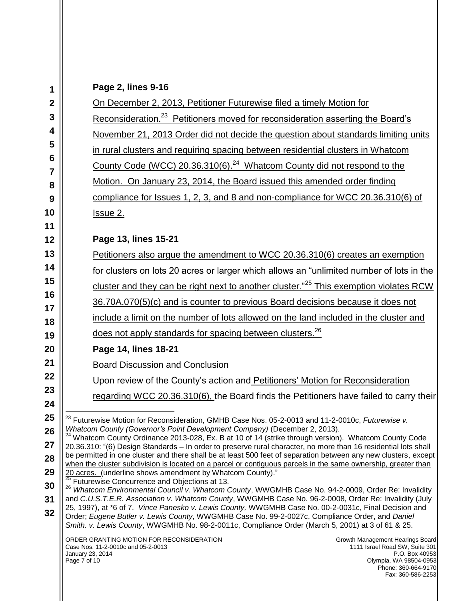| Page 2, lines 9-16 |  |  |
|--------------------|--|--|
|                    |  |  |

| 1                                                                                                                                                                                    | Page 2, lines 9-16<br>On December 2, 2013, Petitioner Futurewise filed a timely Motion for                                                                                                                                                                                        |  |    |
|--------------------------------------------------------------------------------------------------------------------------------------------------------------------------------------|-----------------------------------------------------------------------------------------------------------------------------------------------------------------------------------------------------------------------------------------------------------------------------------|--|----|
| $\boldsymbol{2}$                                                                                                                                                                     |                                                                                                                                                                                                                                                                                   |  |    |
| 3<br>Reconsideration. <sup>23</sup> Petitioners moved for reconsideration asserting the Board's                                                                                      |                                                                                                                                                                                                                                                                                   |  |    |
| 4                                                                                                                                                                                    | November 21, 2013 Order did not decide the question about standards limiting units                                                                                                                                                                                                |  |    |
| 5                                                                                                                                                                                    | in rural clusters and requiring spacing between residential clusters in Whatcom                                                                                                                                                                                                   |  |    |
| 6<br>7                                                                                                                                                                               | County Code (WCC) 20.36.310(6). <sup>24</sup> Whatcom County did not respond to the                                                                                                                                                                                               |  |    |
| 8                                                                                                                                                                                    | Motion. On January 23, 2014, the Board issued this amended order finding                                                                                                                                                                                                          |  |    |
| 9                                                                                                                                                                                    | compliance for Issues 1, 2, 3, and 8 and non-compliance for WCC 20.36.310(6) of                                                                                                                                                                                                   |  |    |
| 10                                                                                                                                                                                   | <u>Issue 2.</u>                                                                                                                                                                                                                                                                   |  |    |
| 11                                                                                                                                                                                   |                                                                                                                                                                                                                                                                                   |  |    |
| 12                                                                                                                                                                                   | Page 13, lines 15-21                                                                                                                                                                                                                                                              |  |    |
| 13                                                                                                                                                                                   | Petitioners also argue the amendment to WCC 20.36.310(6) creates an exemption                                                                                                                                                                                                     |  |    |
| 14                                                                                                                                                                                   | for clusters on lots 20 acres or larger which allows an "unlimited number of lots in the                                                                                                                                                                                          |  |    |
| 15<br>16                                                                                                                                                                             | cluster and they can be right next to another cluster." <sup>25</sup> This exemption violates RCW                                                                                                                                                                                 |  |    |
| 36.70A.070(5)(c) and is counter to previous Board decisions because it does not<br>17<br>include a limit on the number of lots allowed on the land included in the cluster and<br>18 |                                                                                                                                                                                                                                                                                   |  |    |
|                                                                                                                                                                                      |                                                                                                                                                                                                                                                                                   |  | 19 |
| 20                                                                                                                                                                                   | Page 14, lines 18-21                                                                                                                                                                                                                                                              |  |    |
| 21                                                                                                                                                                                   | <b>Board Discussion and Conclusion</b>                                                                                                                                                                                                                                            |  |    |
| 22                                                                                                                                                                                   | Upon review of the County's action and Petitioners' Motion for Reconsideration                                                                                                                                                                                                    |  |    |
| 23<br>24                                                                                                                                                                             | regarding WCC 20.36.310(6), the Board finds the Petitioners have failed to carry their                                                                                                                                                                                            |  |    |
| 25                                                                                                                                                                                   |                                                                                                                                                                                                                                                                                   |  |    |
| 26                                                                                                                                                                                   | <sup>23</sup> Futurewise Motion for Reconsideration, GMHB Case Nos. 05-2-0013 and 11-2-0010c, Futurewise v.<br>Whatcom County (Governor's Point Development Company) (December 2, 2013).                                                                                          |  |    |
| 27                                                                                                                                                                                   | <sup>24</sup> Whatcom County Ordinance 2013-028, Ex. B at 10 of 14 (strike through version). Whatcom County Code<br>20.36.310: "(6) Design Standards - In order to preserve rural character, no more than 16 residential lots shall                                               |  |    |
| 28                                                                                                                                                                                   | be permitted in one cluster and there shall be at least 500 feet of separation between any new clusters, except<br>when the cluster subdivision is located on a parcel or contiguous parcels in the same ownership, greater than                                                  |  |    |
| 29                                                                                                                                                                                   | 20 acres. (underline shows amendment by Whatcom County)."                                                                                                                                                                                                                         |  |    |
| 30                                                                                                                                                                                   | Futurewise Concurrence and Objections at 13.<br>26<br>Whatcom Environmental Council v. Whatcom County, WWGMHB Case No. 94-2-0009, Order Re: Invalidity                                                                                                                            |  |    |
| 31                                                                                                                                                                                   | and C.U.S.T.E.R. Association v. Whatcom County, WWGMHB Case No. 96-2-0008, Order Re: Invalidity (July<br>25, 1997), at *6 of 7. Vince Panesko v. Lewis County, WWGMHB Case No. 00-2-0031c, Final Decision and                                                                     |  |    |
| 32                                                                                                                                                                                   | Order; Eugene Butler v. Lewis County, WWGMHB Case No. 99-2-0027c, Compliance Order, and Daniel<br>Smith. v. Lewis County, WWGMHB No. 98-2-0011c, Compliance Order (March 5, 2001) at 3 of 61 & 25.                                                                                |  |    |
|                                                                                                                                                                                      | ORDER GRANTING MOTION FOR RECONSIDERATION<br>Growth Management Hearings Board<br>Case Nos. 11-2-0010c and 05-2-0013<br>1111 Israel Road SW, Suite 301<br>January 23, 2014<br>P.O. Box 40953<br>Page 7 of 10<br>Olympia, WA 98504-0953<br>Phone: 360-664-9170<br>Fax: 360-586-2253 |  |    |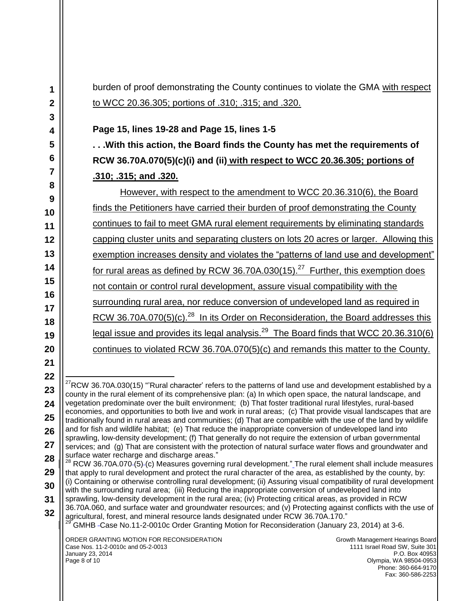burden of proof demonstrating the County continues to violate the GMA with respect to WCC 20.36.305; portions of .310; .315; and .320.

#### **Page 15, lines 19-28 and Page 15, lines 1-5**

**. . .With this action, the Board finds the County has met the requirements of RCW 36.70A.070(5)(c)(i) and (ii) with respect to WCC 20.36.305; portions of .310; .315; and .320.** 

However, with respect to the amendment to WCC 20.36.310(6), the Board finds the Petitioners have carried their burden of proof demonstrating the County continues to fail to meet GMA rural element requirements by eliminating standards capping cluster units and separating clusters on lots 20 acres or larger. Allowing this exemption increases density and violates the "patterns of land use and development" for rural areas as defined by RCW 36.70A.030(15).<sup>27</sup> Further, this exemption does not contain or control rural development, assure visual compatibility with the surrounding rural area, nor reduce conversion of undeveloped land as required in RCW 36.70A.070(5)(c).<sup>28</sup> In its Order on Reconsideration, the Board addresses this legal issue and provides its legal analysis.<sup>29</sup> The Board finds that WCC 20.36.310(6) continues to violated RCW 36.70A.070(5)(c) and remands this matter to the County.

 $^{27}$ RCW 36.70A.030(15) "'Rural character' refers to the patterns of land use and development established by a county in the rural element of its comprehensive plan: (a) In which open space, the natural landscape, and vegetation predominate over the built environment; (b) That foster traditional rural lifestyles, rural-based economies, and opportunities to both live and work in rural areas; (c) That provide visual landscapes that are traditionally found in rural areas and communities; (d) That are compatible with the use of the land by wildlife and for fish and wildlife habitat; (e) That reduce the inappropriate conversion of undeveloped land into sprawling, low-density development; (f) That generally do not require the extension of urban governmental services; and (g) That are consistent with the protection of natural surface water flows and groundwater and

 $^{28}$  RCW 36.70A.070-(5)-(c) Measures governing rural development." The rural element shall include measures that apply to rural development and protect the rural character of the area, as established by the county, by: (i) Containing or otherwise controlling rural development; (ii) Assuring visual compatibility of rural development

 $\overline{a}$ 

**24 25**

**26 27**

- **28 29**
- **30**
- **31**
- **32**



 $^{29}$  GMHB -Case No.11-2-0010c Order Granting Motion for Reconsideration (January 23, 2014) at 3-6.

with the surrounding rural area; (iii) Reducing the inappropriate conversion of undeveloped land into sprawling, low-density development in the rural area; (iv) Protecting critical areas, as provided in RCW

#### ORDER GRANTING MOTION FOR RECONSIDERATION Case Nos. 11-2-0010c and 05-2-0013 January 23, 2014 Page 8 of 10

surface water recharge and discharge areas."

Growth Management Hearings Board 1111 Israel Road SW, Suite 301 P.O. Box 40953 Olympia, WA 98504-0953 Phone: 360-664-9170 Fax: 360-586-2253

**<sup>19</sup> 20 21**

**<sup>22</sup>**

**<sup>23</sup>**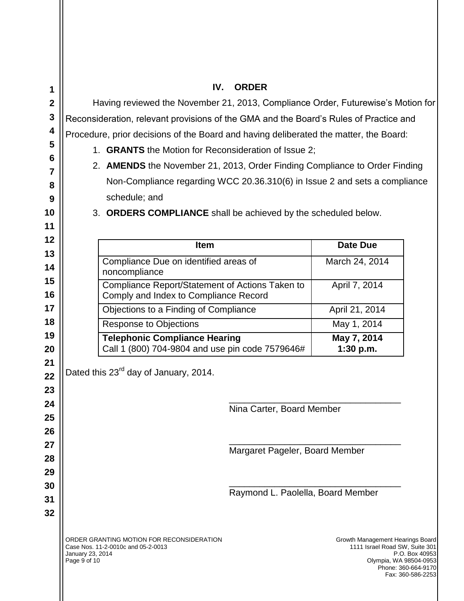| 1<br>$\boldsymbol{2}$<br>3<br>4<br>5<br>6<br>$\overline{7}$<br>8<br>9<br>10<br>11 | IV.<br><b>ORDER</b><br>Having reviewed the November 21, 2013, Compliance Order, Futurewise's Motion for<br>Reconsideration, relevant provisions of the GMA and the Board's Rules of Practice and<br>Procedure, prior decisions of the Board and having deliberated the matter, the Board:<br>1. <b>GRANTS</b> the Motion for Reconsideration of Issue 2;<br>2. AMENDS the November 21, 2013, Order Finding Compliance to Order Finding<br>Non-Compliance regarding WCC 20.36.310(6) in Issue 2 and sets a compliance<br>schedule; and<br>3. ORDERS COMPLIANCE shall be achieved by the scheduled below. |                                                                                         |                                                                     |                                                                                              |                                                            |
|-----------------------------------------------------------------------------------|---------------------------------------------------------------------------------------------------------------------------------------------------------------------------------------------------------------------------------------------------------------------------------------------------------------------------------------------------------------------------------------------------------------------------------------------------------------------------------------------------------------------------------------------------------------------------------------------------------|-----------------------------------------------------------------------------------------|---------------------------------------------------------------------|----------------------------------------------------------------------------------------------|------------------------------------------------------------|
| 12                                                                                |                                                                                                                                                                                                                                                                                                                                                                                                                                                                                                                                                                                                         | Item                                                                                    |                                                                     | <b>Date Due</b>                                                                              |                                                            |
| 13                                                                                |                                                                                                                                                                                                                                                                                                                                                                                                                                                                                                                                                                                                         | Compliance Due on identified areas of                                                   |                                                                     | March 24, 2014                                                                               |                                                            |
| 14<br>15                                                                          | noncompliance                                                                                                                                                                                                                                                                                                                                                                                                                                                                                                                                                                                           |                                                                                         |                                                                     |                                                                                              |                                                            |
| 16                                                                                | Compliance Report/Statement of Actions Taken to<br>Comply and Index to Compliance Record                                                                                                                                                                                                                                                                                                                                                                                                                                                                                                                |                                                                                         |                                                                     | April 7, 2014                                                                                |                                                            |
| 17                                                                                |                                                                                                                                                                                                                                                                                                                                                                                                                                                                                                                                                                                                         | Objections to a Finding of Compliance                                                   |                                                                     | April 21, 2014                                                                               |                                                            |
| 18                                                                                |                                                                                                                                                                                                                                                                                                                                                                                                                                                                                                                                                                                                         | <b>Response to Objections</b>                                                           |                                                                     | May 1, 2014                                                                                  |                                                            |
| 19<br>20                                                                          |                                                                                                                                                                                                                                                                                                                                                                                                                                                                                                                                                                                                         | <b>Telephonic Compliance Hearing</b><br>Call 1 (800) 704-9804 and use pin code 7579646# |                                                                     | May 7, 2014<br>1:30 p.m.                                                                     |                                                            |
| 21<br>22<br>23<br>24<br>25                                                        | Dated this 23 <sup>rd</sup> day of January, 2014.<br>Nina Carter, Board Member                                                                                                                                                                                                                                                                                                                                                                                                                                                                                                                          |                                                                                         |                                                                     |                                                                                              |                                                            |
| 26<br>27<br>28<br>29<br>30                                                        |                                                                                                                                                                                                                                                                                                                                                                                                                                                                                                                                                                                                         |                                                                                         | Margaret Pageler, Board Member<br>Raymond L. Paolella, Board Member |                                                                                              |                                                            |
| 31<br>32                                                                          | Case Nos. 11-2-0010c and 05-2-0013<br>January 23, 2014<br>Page 9 of 10                                                                                                                                                                                                                                                                                                                                                                                                                                                                                                                                  | ORDER GRANTING MOTION FOR RECONSIDERATION                                               |                                                                     | Growth Management Hearings Board<br>1111 Israel Road SW, Suite 301<br>Olympia, WA 98504-0953 | P.O. Box 40953<br>Phone: 360-664-9170<br>Fax: 360-586-2253 |
|                                                                                   |                                                                                                                                                                                                                                                                                                                                                                                                                                                                                                                                                                                                         |                                                                                         |                                                                     |                                                                                              |                                                            |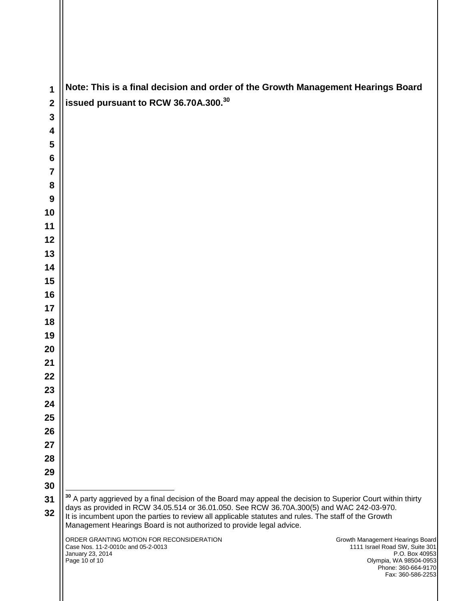| 1                       | Note: This is a final decision and order of the Growth Management Hearings Board                                                                                                                                                                                           |
|-------------------------|----------------------------------------------------------------------------------------------------------------------------------------------------------------------------------------------------------------------------------------------------------------------------|
| $\overline{2}$          | issued pursuant to RCW 36.70A.300.30                                                                                                                                                                                                                                       |
| $\overline{\mathbf{3}}$ |                                                                                                                                                                                                                                                                            |
| 4                       |                                                                                                                                                                                                                                                                            |
| 5                       |                                                                                                                                                                                                                                                                            |
| 6                       |                                                                                                                                                                                                                                                                            |
| 7                       |                                                                                                                                                                                                                                                                            |
| 8                       |                                                                                                                                                                                                                                                                            |
| 9<br>10                 |                                                                                                                                                                                                                                                                            |
| 11                      |                                                                                                                                                                                                                                                                            |
| 12                      |                                                                                                                                                                                                                                                                            |
| 13                      |                                                                                                                                                                                                                                                                            |
| 14                      |                                                                                                                                                                                                                                                                            |
| 15                      |                                                                                                                                                                                                                                                                            |
| 16                      |                                                                                                                                                                                                                                                                            |
| 17                      |                                                                                                                                                                                                                                                                            |
| 18                      |                                                                                                                                                                                                                                                                            |
| 19                      |                                                                                                                                                                                                                                                                            |
| 20                      |                                                                                                                                                                                                                                                                            |
| 21                      |                                                                                                                                                                                                                                                                            |
| 22                      |                                                                                                                                                                                                                                                                            |
| 23                      |                                                                                                                                                                                                                                                                            |
| 24                      |                                                                                                                                                                                                                                                                            |
| 25                      |                                                                                                                                                                                                                                                                            |
| 26                      |                                                                                                                                                                                                                                                                            |
| 27                      |                                                                                                                                                                                                                                                                            |
| 28                      |                                                                                                                                                                                                                                                                            |
| 29<br>30                |                                                                                                                                                                                                                                                                            |
| 31                      | <sup>30</sup> A party aggrieved by a final decision of the Board may appeal the decision to Superior Court within thirty                                                                                                                                                   |
| 32                      | days as provided in RCW 34.05.514 or 36.01.050. See RCW 36.70A.300(5) and WAC 242-03-970.<br>It is incumbent upon the parties to review all applicable statutes and rules. The staff of the Growth<br>Management Hearings Board is not authorized to provide legal advice. |
|                         | ORDER GRANTING MOTION FOR RECONSIDERATION<br>Growth Management Hearings Board<br>1111 Israel Road SW, Suite 301<br>Case Nos. 11-2-0010c and 05-2-0013<br>P.O. Box 40953<br>January 23, 2014                                                                                |
|                         | Page 10 of 10<br>Olympia, WA 98504-0953<br>Phone: 360-664-9170<br>Fax: 360-586-2253                                                                                                                                                                                        |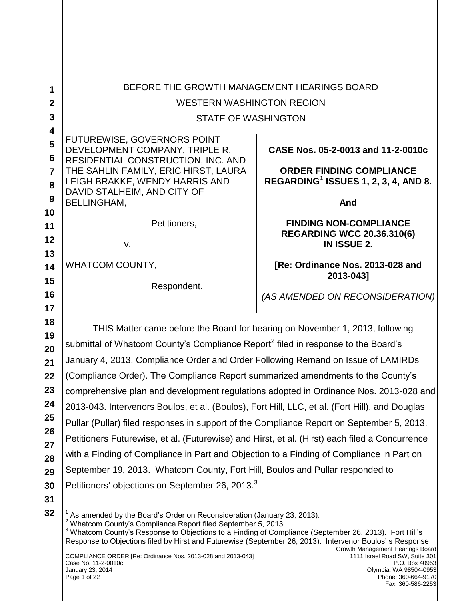|                       | BEFORE THE GROWTH MANAGEMENT HEARINGS BOARD                                                                                                                                                                     |                                                         |  |  |
|-----------------------|-----------------------------------------------------------------------------------------------------------------------------------------------------------------------------------------------------------------|---------------------------------------------------------|--|--|
| 1<br>$\boldsymbol{2}$ | <b>WESTERN WASHINGTON REGION</b>                                                                                                                                                                                |                                                         |  |  |
| 3                     |                                                                                                                                                                                                                 |                                                         |  |  |
| 4                     | <b>STATE OF WASHINGTON</b>                                                                                                                                                                                      |                                                         |  |  |
| 5                     | FUTUREWISE, GOVERNORS POINT                                                                                                                                                                                     |                                                         |  |  |
| 6                     | DEVELOPMENT COMPANY, TRIPLE R.                                                                                                                                                                                  | CASE Nos. 05-2-0013 and 11-2-0010c                      |  |  |
| $\overline{7}$        | RESIDENTIAL CONSTRUCTION, INC. AND<br>THE SAHLIN FAMILY, ERIC HIRST, LAURA                                                                                                                                      | <b>ORDER FINDING COMPLIANCE</b>                         |  |  |
| 8                     | LEIGH BRAKKE, WENDY HARRIS AND                                                                                                                                                                                  | REGARDING <sup>1</sup> ISSUES 1, 2, 3, 4, AND 8.        |  |  |
| 9                     | DAVID STALHEIM, AND CITY OF<br><b>BELLINGHAM.</b>                                                                                                                                                               |                                                         |  |  |
| 10                    |                                                                                                                                                                                                                 | And                                                     |  |  |
| 11                    | Petitioners,                                                                                                                                                                                                    | <b>FINDING NON-COMPLIANCE</b>                           |  |  |
| 12                    |                                                                                                                                                                                                                 | <b>REGARDING WCC 20.36.310(6)</b><br><b>IN ISSUE 2.</b> |  |  |
| 13                    | v.                                                                                                                                                                                                              |                                                         |  |  |
| 14                    | WHATCOM COUNTY,                                                                                                                                                                                                 | [Re: Ordinance Nos. 2013-028 and                        |  |  |
| 15                    | Respondent.                                                                                                                                                                                                     | 2013-043]                                               |  |  |
| 16                    |                                                                                                                                                                                                                 | (AS AMENDED ON RECONSIDERATION)                         |  |  |
| 17                    |                                                                                                                                                                                                                 |                                                         |  |  |
| 18<br>19              | THIS Matter came before the Board for hearing on November 1, 2013, following                                                                                                                                    |                                                         |  |  |
| 20                    | submittal of Whatcom County's Compliance Report <sup>2</sup> filed in response to the Board's                                                                                                                   |                                                         |  |  |
| 21                    | January 4, 2013, Compliance Order and Order Following Remand on Issue of LAMIRDs                                                                                                                                |                                                         |  |  |
| 22                    | (Compliance Order). The Compliance Report summarized amendments to the County's                                                                                                                                 |                                                         |  |  |
| 23                    | comprehensive plan and development regulations adopted in Ordinance Nos. 2013-028 and                                                                                                                           |                                                         |  |  |
| 24                    | 2013-043. Intervenors Boulos, et al. (Boulos), Fort Hill, LLC, et al. (Fort Hill), and Douglas                                                                                                                  |                                                         |  |  |
| 25<br>26              | Pullar (Pullar) filed responses in support of the Compliance Report on September 5, 2013.                                                                                                                       |                                                         |  |  |
| 27                    | Petitioners Futurewise, et al. (Futurewise) and Hirst, et al. (Hirst) each filed a Concurrence                                                                                                                  |                                                         |  |  |
| 28                    | with a Finding of Compliance in Part and Objection to a Finding of Compliance in Part on                                                                                                                        |                                                         |  |  |
| 29                    | September 19, 2013. Whatcom County, Fort Hill, Boulos and Pullar responded to                                                                                                                                   |                                                         |  |  |
| 30                    | Petitioners' objections on September 26, 2013. <sup>3</sup>                                                                                                                                                     |                                                         |  |  |
| 31                    |                                                                                                                                                                                                                 |                                                         |  |  |
| 32                    | As amended by the Board's Order on Reconsideration (January 23, 2013).<br><sup>2</sup> Whatcom County's Compliance Report filed September 5, 2013.                                                              |                                                         |  |  |
|                       | Whatcom County's Response to Objections to a Finding of Compliance (September 26, 2013). Fort Hill's<br>Response to Objections filed by Hirst and Futurewise (September 26, 2013). Intervenor Boulos's Response |                                                         |  |  |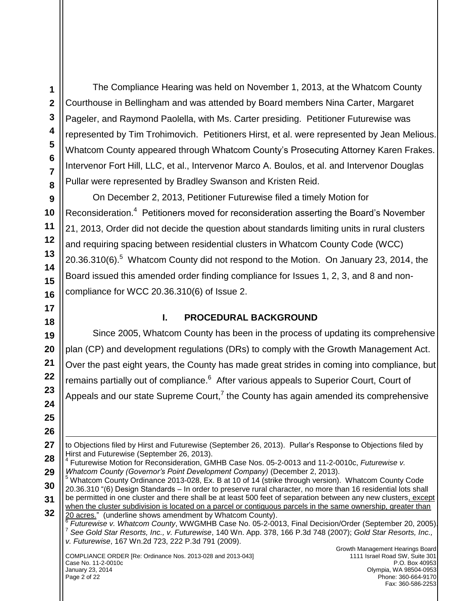The Compliance Hearing was held on November 1, 2013, at the Whatcom County Courthouse in Bellingham and was attended by Board members Nina Carter, Margaret Pageler, and Raymond Paolella, with Ms. Carter presiding. Petitioner Futurewise was represented by Tim Trohimovich. Petitioners Hirst, et al. were represented by Jean Melious. Whatcom County appeared through Whatcom County"s Prosecuting Attorney Karen Frakes. Intervenor Fort Hill, LLC, et al., Intervenor Marco A. Boulos, et al. and Intervenor Douglas Pullar were represented by Bradley Swanson and Kristen Reid.

On December 2, 2013, Petitioner Futurewise filed a timely Motion for Reconsideration.<sup>4</sup> Petitioners moved for reconsideration asserting the Board's November 21, 2013, Order did not decide the question about standards limiting units in rural clusters and requiring spacing between residential clusters in Whatcom County Code (WCC)  $20.36.310(6)$ .<sup>5</sup> Whatcom County did not respond to the Motion. On January 23, 2014, the Board issued this amended order finding compliance for Issues 1, 2, 3, and 8 and noncompliance for WCC 20.36.310(6) of Issue 2.

## **I. PROCEDURAL BACKGROUND**

Since 2005, Whatcom County has been in the process of updating its comprehensive plan (CP) and development regulations (DRs) to comply with the Growth Management Act. Over the past eight years, the County has made great strides in coming into compliance, but remains partially out of compliance.<sup>6</sup> After various appeals to Superior Court, Court of Appeals and our state Supreme Court,<sup>7</sup> the County has again amended its comprehensive

<sup>5</sup> Whatcom County Ordinance 2013-028, Ex. B at 10 of 14 (strike through version). Whatcom County Code 20.36.310 "(6) Design Standards – In order to preserve rural character, no more than 16 residential lots shall be permitted in one cluster and there shall be at least 500 feet of separation between any new clusters, except

COMPLIANCE ORDER [Re: Ordinance Nos. 2013-028 and 2013-043] Case No. 11-2-0010c January 23, 2014 Page 2 of 22

 $\overline{a}$ 

to Objections filed by Hirst and Futurewise (September 26, 2013). Pullar"s Response to Objections filed by Hirst and Futurewise (September 26, 2013).

<sup>4</sup> Futurewise Motion for Reconsideration, GMHB Case Nos. 05-2-0013 and 11-2-0010c, *Futurewise v. Whatcom County (Governor's Point Development Company)* (December 2, 2013).

when the cluster subdivision is located on a parcel or contiguous parcels in the same ownership, greater than 20 acres." (underline shows amendment by Whatcom County).

<sup>6</sup> *Futurewise v. Whatcom County*, WWGMHB Case No. 05-2-0013, Final Decision/Order (September 20, 2005). 7 *See Gold Star Resorts, Inc., v. Futurewise*, 140 Wn. App. 378, 166 P.3d 748 (2007); *Gold Star Resorts, Inc., v. Futurewise*, 167 Wn.2d 723, 222 P.3d 791 (2009).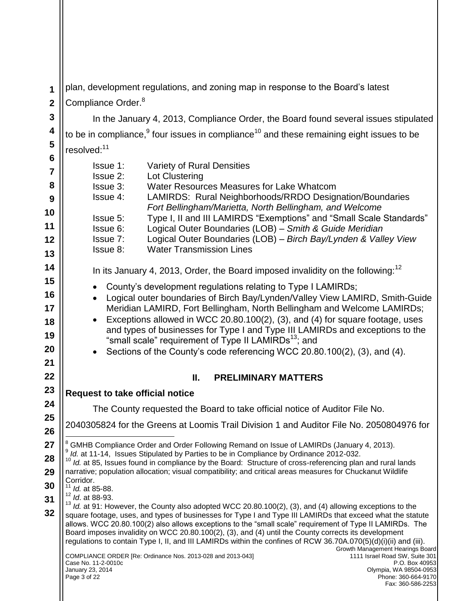**1 2** plan, development regulations, and zoning map in response to the Board"s latest Compliance Order.<sup>8</sup>

In the January 4, 2013, Compliance Order, the Board found several issues stipulated to be in compliance,<sup>9</sup> four issues in compliance<sup>10</sup> and these remaining eight issues to be resolved:<sup>11</sup>

Issue 1: Variety of Rural Densities Issue 2: Lot Clustering Issue 3: Water Resources Measures for Lake Whatcom Issue 4: LAMIRDS: Rural Neighborhoods/RRDO Designation/Boundaries *Fort Bellingham/Marietta, North Bellingham, and Welcome* Issue 5: Type I, II and III LAMIRDS "Exemptions" and "Small Scale Standards" Issue 6: Logical Outer Boundaries (LOB) – *Smith & Guide Meridian* Issue 7: Logical Outer Boundaries (LOB) – *Birch Bay/Lynden & Valley View* Issue 8: Water Transmission Lines In its January 4, 2013, Order, the Board imposed invalidity on the following:<sup>12</sup> • County's development regulations relating to Type I LAMIRDs; Logical outer boundaries of Birch Bay/Lynden/Valley View LAMIRD, Smith-Guide Meridian LAMIRD, Fort Bellingham, North Bellingham and Welcome LAMIRDs; Exceptions allowed in WCC 20.80.100(2), (3), and (4) for square footage, uses and types of businesses for Type I and Type III LAMIRDs and exceptions to the "small scale" requirement of Type II LAMIRDs $^{13}$ ; and Sections of the County"s code referencing WCC 20.80.100(2), (3), and (4). **II. PRELIMINARY MATTERS Request to take official notice** The County requested the Board to take official notice of Auditor File No.

2040305824 for the Greens at Loomis Trail Division 1 and Auditor File No. 2050804976 for  $\overline{a}$ 

<sup>8</sup> GMHB Compliance Order and Order Following Remand on Issue of LAMIRDs (January 4, 2013).

<sup>9</sup> Id. at 11-14, Issues Stipulated by Parties to be in Compliance by Ordinance 2012-032.

<sup>10</sup> *Id.* at 85, Issues found in compliance by the Board: Structure of cross-referencing plan and rural lands narrative; population allocation; visual compatibility; and critical areas measures for Chuckanut Wildlife Corridor.

**30** *Id.* at 85-88.

<sup>12</sup> *Id*. at 88-93.

**31 32** <sup>13</sup> *Id.* at 91: However, the County also adopted WCC 20.80.100(2), (3), and (4) allowing exceptions to the square footage, uses, and types of businesses for Type I and Type III LAMIRDs that exceed what the statute allows. WCC 20.80.100(2) also allows exceptions to the "small scale" requirement of Type II LAMIRDs. The Board imposes invalidity on WCC 20.80.100(2), (3), and (4) until the County corrects its development regulations to contain Type I, II, and III LAMIRDs within the confines of RCW 36.70A.070(5)(d)(i)(ii) and (iii).

COMPLIANCE ORDER [Re: Ordinance Nos. 2013-028 and 2013-043] Case No. 11-2-0010c January 23, 2014 Page 3 of 22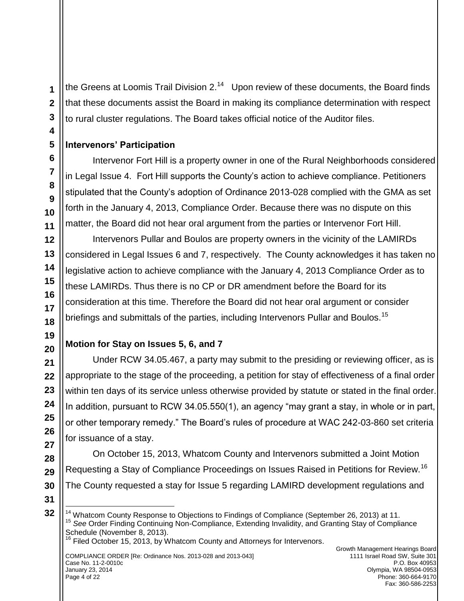the Greens at Loomis Trail Division 2. $14$  Upon review of these documents, the Board finds that these documents assist the Board in making its compliance determination with respect to rural cluster regulations. The Board takes official notice of the Auditor files.

## **Intervenors' Participation**

Intervenor Fort Hill is a property owner in one of the Rural Neighborhoods considered in Legal Issue 4. Fort Hill supports the County"s action to achieve compliance. Petitioners stipulated that the County"s adoption of Ordinance 2013-028 complied with the GMA as set forth in the January 4, 2013, Compliance Order. Because there was no dispute on this matter, the Board did not hear oral argument from the parties or Intervenor Fort Hill.

Intervenors Pullar and Boulos are property owners in the vicinity of the LAMIRDs considered in Legal Issues 6 and 7, respectively. The County acknowledges it has taken no legislative action to achieve compliance with the January 4, 2013 Compliance Order as to these LAMIRDs. Thus there is no CP or DR amendment before the Board for its consideration at this time. Therefore the Board did not hear oral argument or consider briefings and submittals of the parties, including Intervenors Pullar and Boulos.<sup>15</sup>

# **Motion for Stay on Issues 5, 6, and 7**

Under RCW 34.05.467, a party may submit to the presiding or reviewing officer, as is appropriate to the stage of the proceeding, a petition for stay of effectiveness of a final order within ten days of its service unless otherwise provided by statute or stated in the final order. In addition, pursuant to RCW 34.05.550(1), an agency "may grant a stay, in whole or in part, or other temporary remedy." The Board"s rules of procedure at WAC 242-03-860 set criteria for issuance of a stay.

On October 15, 2013, Whatcom County and Intervenors submitted a Joint Motion Requesting a Stay of Compliance Proceedings on Issues Raised in Petitions for Review.<sup>16</sup> The County requested a stay for Issue 5 regarding LAMIRD development regulations and

 $\overline{a}$ 

<sup>&</sup>lt;sup>14</sup> Whatcom County Response to Objections to Findings of Compliance (September 26, 2013) at 11. <sup>15</sup> *See* Order Finding Continuing Non-Compliance, Extending Invalidity, and Granting Stay of Compliance Schedule (November 8, 2013).

<sup>&</sup>lt;sup>16</sup> Filed October 15, 2013, by Whatcom County and Attorneys for Intervenors.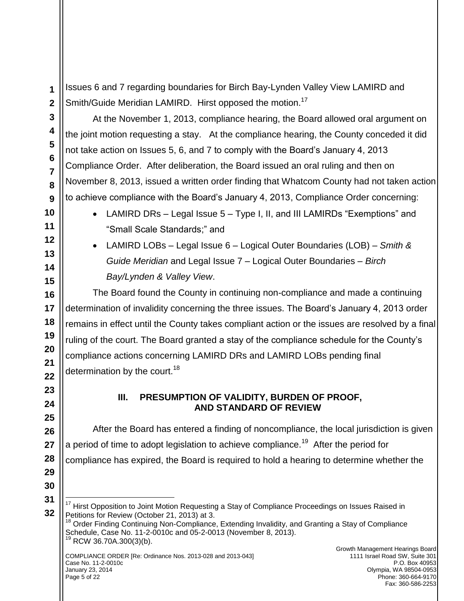Issues 6 and 7 regarding boundaries for Birch Bay-Lynden Valley View LAMIRD and Smith/Guide Meridian LAMIRD. Hirst opposed the motion.<sup>17</sup>

At the November 1, 2013, compliance hearing, the Board allowed oral argument on the joint motion requesting a stay. At the compliance hearing, the County conceded it did not take action on Issues 5, 6, and 7 to comply with the Board"s January 4, 2013 Compliance Order. After deliberation, the Board issued an oral ruling and then on November 8, 2013, issued a written order finding that Whatcom County had not taken action to achieve compliance with the Board"s January 4, 2013, Compliance Order concerning:

- LAMIRD DRs Legal Issue 5 Type I, II, and III LAMIRDs "Exemptions" and "Small Scale Standards;" and
- LAMIRD LOBs Legal Issue 6 Logical Outer Boundaries (LOB) *Smith & Guide Meridian* and Legal Issue 7 – Logical Outer Boundaries – *Birch Bay/Lynden & Valley View*.

The Board found the County in continuing non-compliance and made a continuing determination of invalidity concerning the three issues. The Board"s January 4, 2013 order remains in effect until the County takes compliant action or the issues are resolved by a final ruling of the court. The Board granted a stay of the compliance schedule for the County"s compliance actions concerning LAMIRD DRs and LAMIRD LOBs pending final determination by the court.<sup>18</sup>

## **III. PRESUMPTION OF VALIDITY, BURDEN OF PROOF, AND STANDARD OF REVIEW**

After the Board has entered a finding of noncompliance, the local jurisdiction is given a period of time to adopt legislation to achieve compliance.<sup>19</sup> After the period for compliance has expired, the Board is required to hold a hearing to determine whether the

<sup>18</sup> Order Finding Continuing Non-Compliance, Extending Invalidity, and Granting a Stay of Compliance Schedule, Case No. 11-2-0010c and 05-2-0013 (November 8, 2013).  $19$  RCW 36.70A.300(3)(b).

 $\overline{a}$ <sup>17</sup> Hirst Opposition to Joint Motion Requesting a Stay of Compliance Proceedings on Issues Raised in Petitions for Review (October 21, 2013) at 3.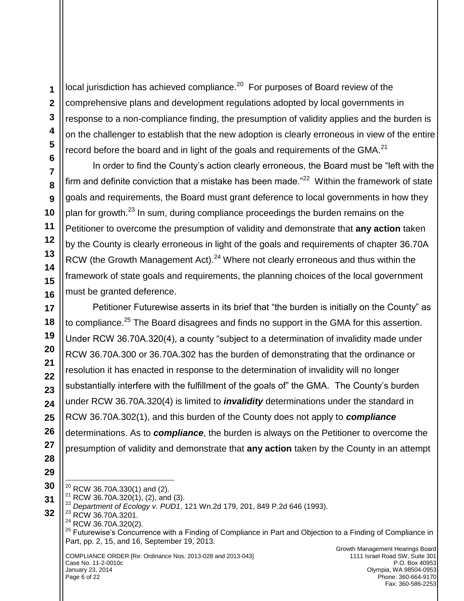local jurisdiction has achieved compliance. $^{20}$  For purposes of Board review of the comprehensive plans and development regulations adopted by local governments in response to a non-compliance finding, the presumption of validity applies and the burden is on the challenger to establish that the new adoption is clearly erroneous in view of the entire record before the board and in light of the goals and requirements of the GMA.<sup>21</sup>

In order to find the County"s action clearly erroneous, the Board must be "left with the firm and definite conviction that a mistake has been made. $^{22}$  Within the framework of state goals and requirements, the Board must grant deference to local governments in how they plan for growth.<sup>23</sup> In sum, during compliance proceedings the burden remains on the Petitioner to overcome the presumption of validity and demonstrate that **any action** taken by the County is clearly erroneous in light of the goals and requirements of chapter 36.70A RCW (the Growth Management Act).<sup>24</sup> Where not clearly erroneous and thus within the framework of state goals and requirements, the planning choices of the local government must be granted deference.

Petitioner Futurewise asserts in its brief that "the burden is initially on the County" as to compliance.<sup>25</sup> The Board disagrees and finds no support in the GMA for this assertion. Under RCW 36.70A.320(4), a county "subject to a determination of invalidity made under RCW [36.70A.300](http://apps.leg.wa.gov/rcw/default.aspx?cite=36.70A.300) or [36.70A.302](http://apps.leg.wa.gov/rcw/default.aspx?cite=36.70A.302) has the burden of demonstrating that the ordinance or resolution it has enacted in response to the determination of invalidity will no longer substantially interfere with the fulfillment of the goals of" the GMA. The County"s burden under RCW 36.70A.320(4) is limited to *invalidity* determinations under the standard in RCW 36.70A.302(1), and this burden of the County does not apply to *compliance*  determinations. As to *compliance*, the burden is always on the Petitioner to overcome the presumption of validity and demonstrate that **any action** taken by the County in an attempt

**29 30**

 $\overline{a}$ 

**31 32**

 $^{20}$  RCW 36.70A.330(1) and (2).

COMPLIANCE ORDER [Re: Ordinance Nos. 2013-028 and 2013-043] Case No. 11-2-0010c January 23, 2014 Page 6 of 22

RCW 36.70A.320 $(1)$ ,  $(2)$ , and  $(3)$ .

<sup>22</sup> *Department of Ecology v. PUD1*, 121 Wn.2d 179, 201, 849 P.2d 646 (1993).

<sup>&</sup>lt;sup>23</sup> RCW 36.70A.3201.

<sup>&</sup>lt;sup>24</sup> RCW 36.70A.320(2).

<sup>&</sup>lt;sup>25</sup> Futurewise's Concurrence with a Finding of Compliance in Part and Objection to a Finding of Compliance in Part, pp. 2, 15, and 16, September 19, 2013.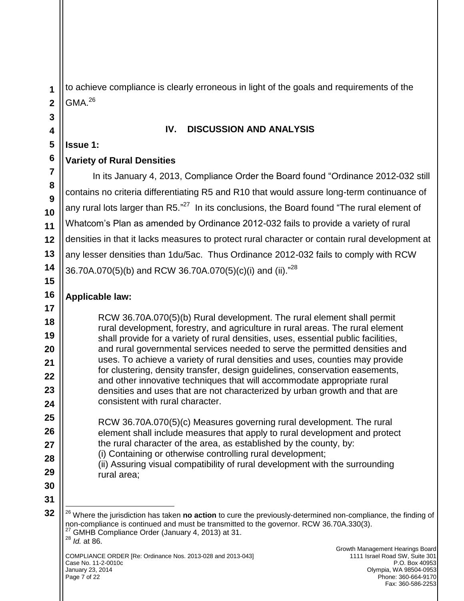to achieve compliance is clearly erroneous in light of the goals and requirements of the  $GMA<sup>26</sup>$ 

#### **IV. DISCUSSION AND ANALYSIS**

#### **Issue 1:**

## **Variety of Rural Densities**

In its January 4, 2013, Compliance Order the Board found "Ordinance 2012-032 still contains no criteria differentiating R5 and R10 that would assure long-term continuance of any rural lots larger than R5. $^{27}$  In its conclusions, the Board found "The rural element of Whatcom"s Plan as amended by Ordinance 2012-032 fails to provide a variety of rural densities in that it lacks measures to protect rural character or contain rural development at any lesser densities than 1du/5ac. Thus Ordinance 2012-032 fails to comply with RCW 36.70A.070(5)(b) and RCW 36.70A.070(5)(c)(i) and (ii)."<sup>28</sup>

## **Applicable law:**

RCW 36.70A.070(5)(b) Rural development. The rural element shall permit rural development, forestry, and agriculture in rural areas. The rural element shall provide for a variety of rural densities, uses, essential public facilities, and rural governmental services needed to serve the permitted densities and uses. To achieve a variety of rural densities and uses, counties may provide for clustering, density transfer, design guidelines, conservation easements, and other innovative techniques that will accommodate appropriate rural densities and uses that are not characterized by urban growth and that are consistent with rural character.

RCW 36.70A.070(5)(c) Measures governing rural development. The rural element shall include measures that apply to rural development and protect the rural character of the area, as established by the county, by: (i) Containing or otherwise controlling rural development; (ii) Assuring visual compatibility of rural development with the surrounding rural area;

**31 32**

 $\overline{a}$ 

<sup>28</sup> *Id.* at 86.

<sup>26</sup> Where the jurisdiction has taken **no action** to cure the previously-determined non-compliance, the finding of non-compliance is continued and must be transmitted to the governor. RCW 36.70A.330(3).  $27$  GMHB Compliance Order (January 4, 2013) at 31.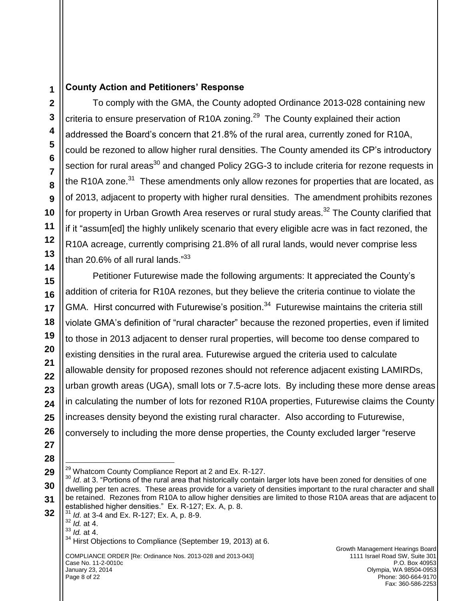## **County Action and Petitioners' Response**

To comply with the GMA, the County adopted Ordinance 2013-028 containing new criteria to ensure preservation of R10A zoning.<sup>29</sup> The County explained their action addressed the Board"s concern that 21.8% of the rural area, currently zoned for R10A, could be rezoned to allow higher rural densities. The County amended its CP"s introductory section for rural areas<sup>30</sup> and changed Policy 2GG-3 to include criteria for rezone requests in the R10A zone. $31$  These amendments only allow rezones for properties that are located, as of 2013, adjacent to property with higher rural densities. The amendment prohibits rezones for property in Urban Growth Area reserves or rural study areas.<sup>32</sup> The County clarified that if it "assum[ed] the highly unlikely scenario that every eligible acre was in fact rezoned, the R10A acreage, currently comprising 21.8% of all rural lands, would never comprise less than 20.6% of all rural lands."<sup>33</sup>

Petitioner Futurewise made the following arguments: It appreciated the County"s addition of criteria for R10A rezones, but they believe the criteria continue to violate the GMA. Hirst concurred with Futurewise's position.<sup>34</sup> Futurewise maintains the criteria still violate GMA"s definition of "rural character" because the rezoned properties, even if limited to those in 2013 adjacent to denser rural properties, will become too dense compared to existing densities in the rural area. Futurewise argued the criteria used to calculate allowable density for proposed rezones should not reference adjacent existing LAMIRDs, urban growth areas (UGA), small lots or 7.5-acre lots. By including these more dense areas in calculating the number of lots for rezoned R10A properties, Futurewise claims the County increases density beyond the existing rural character. Also according to Futurewise, conversely to including the more dense properties, the County excluded larger "reserve

 $\overline{a}$ <sup>29</sup> Whatcom County Compliance Report at 2 and Ex. R-127.

<sup>&</sup>lt;sup>30</sup> *Id.* at 3. "Portions of the rural area that historically contain larger lots have been zoned for densities of one dwelling per ten acres. These areas provide for a variety of densities important to the rural character and shall be retained. Rezones from R10A to allow higher densities are limited to those R10A areas that are adjacent to established higher densities." Ex. R-127; Ex. A, p. 8.

<sup>31</sup> *Id*. at 3-4 and Ex. R-127; Ex. A, p. 8-9.

<sup>32</sup> *Id.* at 4. <sup>33</sup> *Id.* at 4.

<sup>&</sup>lt;sup>34</sup> Hirst Objections to Compliance (September 19, 2013) at 6.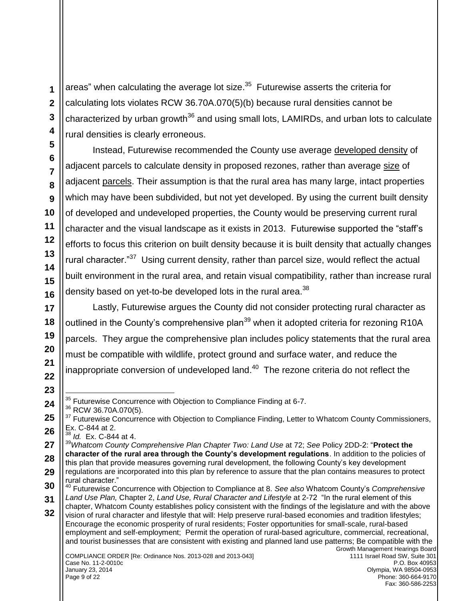areas" when calculating the average lot size. $35$  Futurewise asserts the criteria for calculating lots violates RCW 36.70A.070(5)(b) because rural densities cannot be characterized by urban growth<sup>36</sup> and using small lots, LAMIRDs, and urban lots to calculate rural densities is clearly erroneous.

Instead, Futurewise recommended the County use average developed density of adjacent parcels to calculate density in proposed rezones, rather than average size of adjacent parcels. Their assumption is that the rural area has many large, intact properties which may have been subdivided, but not yet developed. By using the current built density of developed and undeveloped properties, the County would be preserving current rural character and the visual landscape as it exists in 2013. Futurewise supported the "staff"s efforts to focus this criterion on built density because it is built density that actually changes rural character."<sup>37</sup> Using current density, rather than parcel size, would reflect the actual built environment in the rural area, and retain visual compatibility, rather than increase rural density based on yet-to-be developed lots in the rural area. $^{38}$ 

Lastly, Futurewise argues the County did not consider protecting rural character as outlined in the County's comprehensive plan<sup>39</sup> when it adopted criteria for rezoning R10A parcels. They argue the comprehensive plan includes policy statements that the rural area must be compatible with wildlife, protect ground and surface water, and reduce the inappropriate conversion of undeveloped land. $^{40}$  The rezone criteria do not reflect the

<sup>36</sup> RCW 36.70A.070(5).

<sup>38</sup> *Id.* Ex. C-844 at 4.

 $\overline{a}$  $35$  Futurewise Concurrence with Objection to Compliance Finding at 6-7.

<sup>&</sup>lt;sup>37</sup> Futurewise Concurrence with Objection to Compliance Finding, Letter to Whatcom County Commissioners, Ex. C-844 at 2.

<sup>39</sup>*Whatcom County Comprehensive Plan Chapter Two: Land Use* at 72; *See* Policy 2DD-2: "**Protect the character of the rural area through the County's development regulations**. In addition to the policies of this plan that provide measures governing rural development, the following County"s key development regulations are incorporated into this plan by reference to assure that the plan contains measures to protect rural character."

<sup>40</sup> Futurewise Concurrence with Objection to Compliance at 8. *See also* Whatcom County"s *Comprehensive Land Use Plan,* Chapter 2, *Land Use, Rural Character and Lifestyle* at 2-72 "In the rural element of this chapter, Whatcom County establishes policy consistent with the findings of the legislature and with the above vision of rural character and lifestyle that will: Help preserve rural-based economies and tradition lifestyles; Encourage the economic prosperity of rural residents; Foster opportunities for small-scale, rural-based employment and self-employment; Permit the operation of rural-based agriculture, commercial, recreational, and tourist businesses that are consistent with existing and planned land use patterns; Be compatible with the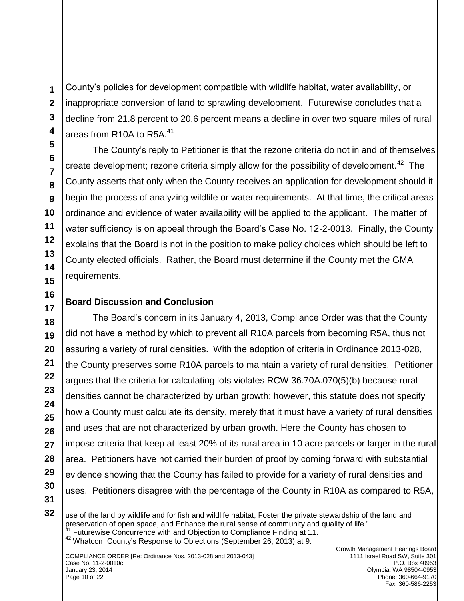$\overline{a}$ 

County"s policies for development compatible with wildlife habitat, water availability, or inappropriate conversion of land to sprawling development. Futurewise concludes that a decline from 21.8 percent to 20.6 percent means a decline in over two square miles of rural areas from R10A to R5A.<sup>41</sup>

The County's reply to Petitioner is that the rezone criteria do not in and of themselves create development; rezone criteria simply allow for the possibility of development.<sup>42</sup> The County asserts that only when the County receives an application for development should it begin the process of analyzing wildlife or water requirements. At that time, the critical areas ordinance and evidence of water availability will be applied to the applicant. The matter of water sufficiency is on appeal through the Board"s Case No. 12-2-0013. Finally, the County explains that the Board is not in the position to make policy choices which should be left to County elected officials. Rather, the Board must determine if the County met the GMA requirements.

## **Board Discussion and Conclusion**

The Board"s concern in its January 4, 2013, Compliance Order was that the County did not have a method by which to prevent all R10A parcels from becoming R5A, thus not assuring a variety of rural densities. With the adoption of criteria in Ordinance 2013-028, the County preserves some R10A parcels to maintain a variety of rural densities. Petitioner argues that the criteria for calculating lots violates RCW 36.70A.070(5)(b) because rural densities cannot be characterized by urban growth; however, this statute does not specify how a County must calculate its density, merely that it must have a variety of rural densities and uses that are not characterized by urban growth. Here the County has chosen to impose criteria that keep at least 20% of its rural area in 10 acre parcels or larger in the rural area. Petitioners have not carried their burden of proof by coming forward with substantial evidence showing that the County has failed to provide for a variety of rural densities and uses. Petitioners disagree with the percentage of the County in R10A as compared to R5A,

use of the land by wildlife and for fish and wildlife habitat; Foster the private stewardship of the land and preservation of open space, and Enhance the rural sense of community and quality of life." <sup>41</sup> Futurewise Concurrence with and Objection to Compliance Finding at 11.

<sup>42</sup> Whatcom County"s Response to Objections (September 26, 2013) at 9.

COMPLIANCE ORDER [Re: Ordinance Nos. 2013-028 and 2013-043] Case No. 11-2-0010c January 23, 2014 Page 10 of 22

Growth Management Hearings Board 1111 Israel Road SW, Suite 301 P.O. Box 40953 Olympia, WA 98504-0953 Phone: 360-664-9170 Fax: 360-586-2253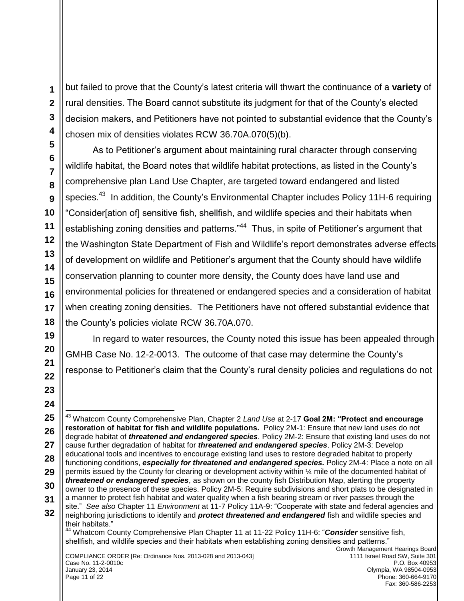but failed to prove that the County"s latest criteria will thwart the continuance of a **variety** of rural densities. The Board cannot substitute its judgment for that of the County"s elected decision makers, and Petitioners have not pointed to substantial evidence that the County"s chosen mix of densities violates RCW 36.70A.070(5)(b).

As to Petitioner's argument about maintaining rural character through conserving wildlife habitat, the Board notes that wildlife habitat protections, as listed in the County"s comprehensive plan Land Use Chapter, are targeted toward endangered and listed species.<sup>43</sup> In addition, the County's Environmental Chapter includes Policy 11H-6 requiring "Consider[ation of] sensitive fish, shellfish, and wildlife species and their habitats when establishing zoning densities and patterns."<sup>44</sup> Thus, in spite of Petitioner's argument that the Washington State Department of Fish and Wildlife"s report demonstrates adverse effects of development on wildlife and Petitioner"s argument that the County should have wildlife conservation planning to counter more density, the County does have land use and environmental policies for threatened or endangered species and a consideration of habitat when creating zoning densities. The Petitioners have not offered substantial evidence that the County"s policies violate RCW 36.70A.070.

In regard to water resources, the County noted this issue has been appealed through GMHB Case No. 12-2-0013. The outcome of that case may determine the County"s response to Petitioner"s claim that the County"s rural density policies and regulations do not

Phone: 360-664-9170 Fax: 360-586-2253

**1**

Page 11 of 22

COMPLIANCE ORDER [Re: Ordinance Nos. 2013-028 and 2013-043] Case No. 11-2-0010c January 23, 2014 Growth Management Hearings Board 1111 Israel Road SW, Suite 301 P.O. Box 40953 Olympia, WA 98504-0953  $\overline{a}$ <sup>43</sup> Whatcom County Comprehensive Plan, Chapter 2 *Land Use* at 2-17 **Goal 2M: "Protect and encourage restoration of habitat for fish and wildlife populations.** Policy 2M-1: Ensure that new land uses do not degrade habitat of *threatened and endangered species*. Policy 2M-2: Ensure that existing land uses do not cause further degradation of habitat for *threatened and endangered species*. Policy 2M-3: Develop educational tools and incentives to encourage existing land uses to restore degraded habitat to properly functioning conditions, **especially for threatened and endangered species.** Policy 2M-4: Place a note on all permits issued by the County for clearing or development activity within ¼ mile of the documented habitat of *threatened or endangered species*, as shown on the county fish Distribution Map, alerting the property owner to the presence of these species. Policy 2M-5: Require subdivisions and short plats to be designated in a manner to protect fish habitat and water quality when a fish bearing stream or river passes through the site." *See also* Chapter 11 *Environment* at 11-7 Policy 11A-9: "Cooperate with state and federal agencies and neighboring jurisdictions to identify and *protect threatened and endangered* fish and wildlife species and their habitats." <sup>44</sup> Whatcom County Comprehensive Plan Chapter 11 at 11-22 Policy 11H-6: "*Consider* sensitive fish, shellfish, and wildlife species and their habitats when establishing zoning densities and patterns."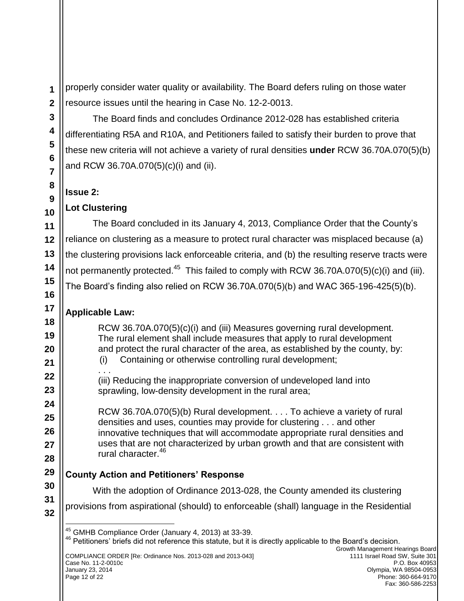properly consider water quality or availability. The Board defers ruling on those water resource issues until the hearing in Case No. 12-2-0013.

The Board finds and concludes Ordinance 2012-028 has established criteria differentiating R5A and R10A, and Petitioners failed to satisfy their burden to prove that these new criteria will not achieve a variety of rural densities **under** RCW 36.70A.070(5)(b) and RCW 36.70A.070(5)(c)(i) and (ii).

## **Issue 2:**

# **Lot Clustering**

The Board concluded in its January 4, 2013, Compliance Order that the County"s reliance on clustering as a measure to protect rural character was misplaced because (a) the clustering provisions lack enforceable criteria, and (b) the resulting reserve tracts were not permanently protected.<sup>45</sup> This failed to comply with RCW 36.70A.070(5)(c)(i) and (iii). The Board"s finding also relied on RCW 36.70A.070(5)(b) and WAC 365-196-425(5)(b).

# **Applicable Law:**

RCW 36.70A.070(5)(c)(i) and (iii) Measures governing rural development. The rural element shall include measures that apply to rural development and protect the rural character of the area, as established by the county, by: (i) Containing or otherwise controlling rural development; . . . (iii) Reducing the inappropriate conversion of undeveloped land into sprawling, low-density development in the rural area;

RCW 36.70A.070(5)(b) Rural development. . . . To achieve a variety of rural densities and uses, counties may provide for clustering . . . and other innovative techniques that will accommodate appropriate rural densities and uses that are not characterized by urban growth and that are consistent with rural character.<sup>46</sup>

# **County Action and Petitioners' Response**

With the adoption of Ordinance 2013-028, the County amended its clustering

provisions from aspirational (should) to enforceable (shall) language in the Residential

<sup>46</sup> Petitioners' briefs did not reference this statute, but it is directly applicable to the Board's decision.

COMPLIANCE ORDER [Re: Ordinance Nos. 2013-028 and 2013-043] Case No. 11-2-0010c January 23, 2014 Page 12 of 22

 $\overline{a}$ <sup>45</sup> GMHB Compliance Order (January 4, 2013) at 33-39.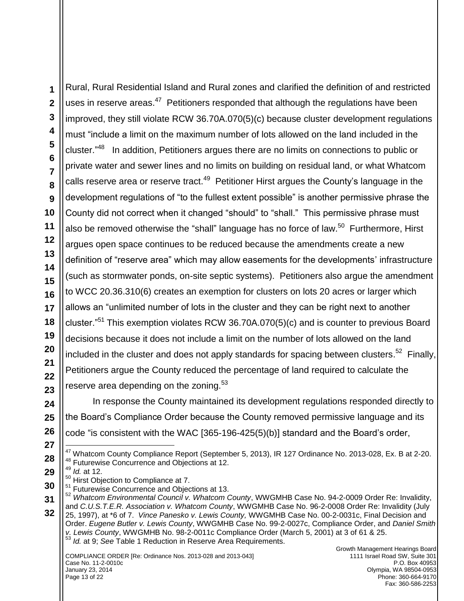Rural, Rural Residential Island and Rural zones and clarified the definition of and restricted uses in reserve areas.<sup>47</sup> Petitioners responded that although the regulations have been improved, they still violate RCW 36.70A.070(5)(c) because cluster development regulations must "include a limit on the maximum number of lots allowed on the land included in the cluster."<sup>48</sup> In addition, Petitioners argues there are no limits on connections to public or private water and sewer lines and no limits on building on residual land, or what Whatcom calls reserve area or reserve tract.<sup>49</sup> Petitioner Hirst argues the County's language in the development regulations of "to the fullest extent possible" is another permissive phrase the County did not correct when it changed "should" to "shall." This permissive phrase must also be removed otherwise the "shall" language has no force of law.<sup>50</sup> Furthermore, Hirst argues open space continues to be reduced because the amendments create a new definition of "reserve area" which may allow easements for the developments" infrastructure (such as stormwater ponds, on-site septic systems). Petitioners also argue the amendment to WCC 20.36.310(6) creates an exemption for clusters on lots 20 acres or larger which allows an "unlimited number of lots in the cluster and they can be right next to another cluster."<sup>51</sup> This exemption violates RCW 36.70A.070(5)(c) and is counter to previous Board decisions because it does not include a limit on the number of lots allowed on the land included in the cluster and does not apply standards for spacing between clusters.<sup>52</sup> Finally, Petitioners argue the County reduced the percentage of land required to calculate the reserve area depending on the zoning. $53$ 

In response the County maintained its development regulations responded directly to the Board"s Compliance Order because the County removed permissive language and its code "is consistent with the WAC [365-196-425(5)(b)] standard and the Board"s order,

 $\overline{a}$  $^{47}$  Whatcom County Compliance Report (September 5, 2013), IR 127 Ordinance No. 2013-028, Ex. B at 2-20. <sup>48</sup> Futurewise Concurrence and Objections at 12.

- <sup>49</sup> *Id.* at 12.
- <sup>50</sup> Hirst Objection to Compliance at 7.
- <sup>51</sup> Futurewise Concurrence and Objections at 13.
- <sup>52</sup> *Whatcom Environmental Council v. Whatcom County*, WWGMHB Case No. 94-2-0009 Order Re: Invalidity,

and *C.U.S.T.E.R. Association v. Whatcom County*, WWGMHB Case No. 96-2-0008 Order Re: Invalidity (July 25, 1997), at \*6 of 7. *Vince Panesko v. Lewis County,* WWGMHB Case No. 00-2-0031c, Final Decision and Order. *Eugene Butler v. Lewis County*, WWGMHB Case No. 99-2-0027c, Compliance Order, and *Daniel Smith v. Lewis County*, WWGMHB No. 98-2-0011c Compliance Order (March 5, 2001) at 3 of 61 & 25. <sup>53</sup> *Id.* at 9; *See* Table 1 Reduction in Reserve Area Requirements.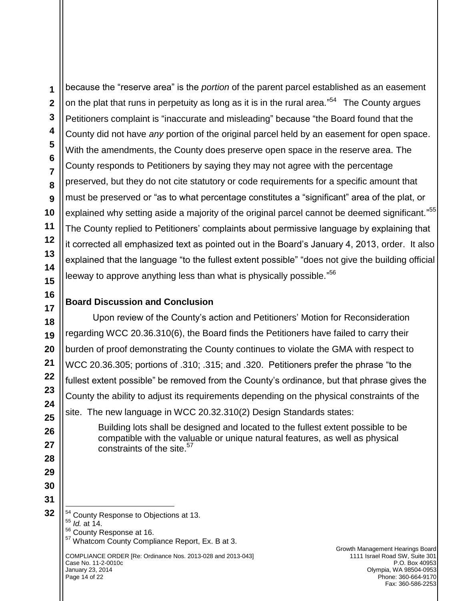$\overline{a}$ 

because the "reserve area" is the *portion* of the parent parcel established as an easement on the plat that runs in perpetuity as long as it is in the rural area."<sup>54</sup> The County argues Petitioners complaint is "inaccurate and misleading" because "the Board found that the County did not have *any* portion of the original parcel held by an easement for open space. With the amendments, the County does preserve open space in the reserve area. The County responds to Petitioners by saying they may not agree with the percentage preserved, but they do not cite statutory or code requirements for a specific amount that must be preserved or "as to what percentage constitutes a "significant" area of the plat, or explained why setting aside a majority of the original parcel cannot be deemed significant." $55$ The County replied to Petitioners' complaints about permissive language by explaining that it corrected all emphasized text as pointed out in the Board"s January 4, 2013, order. It also explained that the language "to the fullest extent possible" "does not give the building official leeway to approve anything less than what is physically possible."<sup>56</sup>

## **Board Discussion and Conclusion**

Upon review of the County"s action and Petitioners" Motion for Reconsideration regarding WCC 20.36.310(6), the Board finds the Petitioners have failed to carry their burden of proof demonstrating the County continues to violate the GMA with respect to WCC 20.36.305; portions of .310; .315; and .320. Petitioners prefer the phrase "to the fullest extent possible" be removed from the County's ordinance, but that phrase gives the County the ability to adjust its requirements depending on the physical constraints of the site. The new language in WCC 20.32.310(2) Design Standards states:

> Building lots shall be designed and located to the fullest extent possible to be compatible with the valuable or unique natural features, as well as physical constraints of the site.<sup>57</sup>

<sup>54</sup> County Response to Objections at 13. <sup>55</sup> *Id.* at 14. <sup>56</sup> County Response at 16. <sup>57</sup> Whatcom County Compliance Report, Ex. B at 3.

COMPLIANCE ORDER [Re: Ordinance Nos. 2013-028 and 2013-043] Case No. 11-2-0010c January 23, 2014 Page 14 of 22

Growth Management Hearings Board 1111 Israel Road SW, Suite 301 P.O. Box 40953 Olympia, WA 98504-0953 Phone: 360-664-9170 Fax: 360-586-2253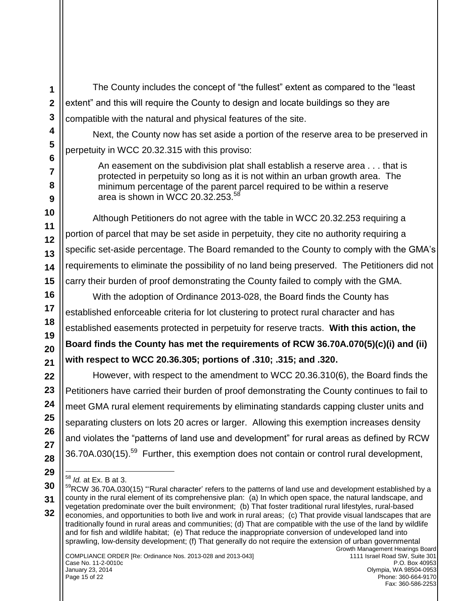The County includes the concept of "the fullest" extent as compared to the "least extent" and this will require the County to design and locate buildings so they are compatible with the natural and physical features of the site.

Next, the County now has set aside a portion of the reserve area to be preserved in perpetuity in WCC 20.32.315 with this proviso:

An easement on the subdivision plat shall establish a reserve area . . . that is protected in perpetuity so long as it is not within an urban growth area. The minimum percentage of the parent parcel required to be within a reserve area is shown in WCC 20.32.253. $58$ 

Although Petitioners do not agree with the table in WCC 20.32.253 requiring a portion of parcel that may be set aside in perpetuity, they cite no authority requiring a specific set-aside percentage. The Board remanded to the County to comply with the GMA's requirements to eliminate the possibility of no land being preserved. The Petitioners did not carry their burden of proof demonstrating the County failed to comply with the GMA.

With the adoption of Ordinance 2013-028, the Board finds the County has established enforceable criteria for lot clustering to protect rural character and has established easements protected in perpetuity for reserve tracts. **With this action, the Board finds the County has met the requirements of RCW 36.70A.070(5)(c)(i) and (ii) with respect to WCC 20.36.305; portions of .310; .315; and .320.** 

However, with respect to the amendment to WCC 20.36.310(6), the Board finds the Petitioners have carried their burden of proof demonstrating the County continues to fail to meet GMA rural element requirements by eliminating standards capping cluster units and separating clusters on lots 20 acres or larger. Allowing this exemption increases density and violates the "patterns of land use and development" for rural areas as defined by RCW 36.70A.030(15).<sup>59</sup> Further, this exemption does not contain or control rural development,

 $\overline{a}$ <sup>58</sup> *Id.* at Ex. B at 3.

<sup>&</sup>lt;sup>59</sup>RCW 36.70A.030(15) "'Rural character' refers to the patterns of land use and development established by a county in the rural element of its comprehensive plan: (a) In which open space, the natural landscape, and vegetation predominate over the built environment; (b) That foster traditional rural lifestyles, rural-based economies, and opportunities to both live and work in rural areas; (c) That provide visual landscapes that are traditionally found in rural areas and communities; (d) That are compatible with the use of the land by wildlife and for fish and wildlife habitat; (e) That reduce the inappropriate conversion of undeveloped land into sprawling, low-density development; (f) That generally do not require the extension of urban governmental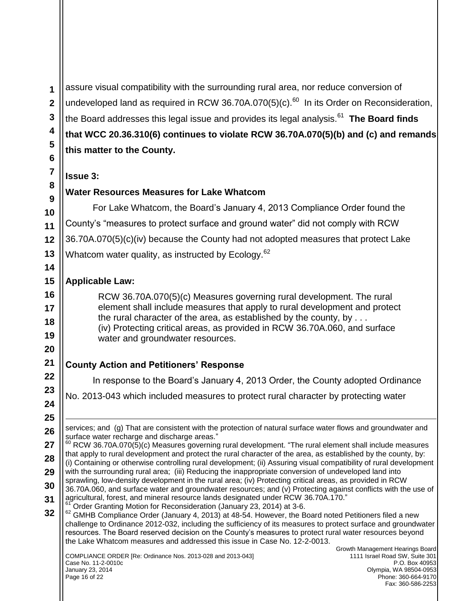assure visual compatibility with the surrounding rural area, nor reduce conversion of undeveloped land as required in RCW 36.70A.070(5)(c). $^{60}$  In its Order on Reconsideration, the Board addresses this legal issue and provides its legal analysis.<sup>61</sup> **The Board finds that WCC 20.36.310(6) continues to violate RCW 36.70A.070(5)(b) and (c) and remands this matter to the County.** 

#### **Issue 3:**

## **Water Resources Measures for Lake Whatcom**

For Lake Whatcom, the Board"s January 4, 2013 Compliance Order found the County"s "measures to protect surface and ground water" did not comply with RCW 36.70A.070(5)(c)(iv) because the County had not adopted measures that protect Lake Whatcom water quality, as instructed by Ecology. $62$ 

## **Applicable Law:**

RCW 36.70A.070(5)(c) Measures governing rural development. The rural element shall include measures that apply to rural development and protect the rural character of the area, as established by the county, by . . . (iv) Protecting critical areas, as provided in RCW [36.70A.060,](http://apps.leg.wa.gov/RCW/default.aspx?cite=36.70A.060) and surface water and groundwater resources.

## **County Action and Petitioners' Response**

In response to the Board"s January 4, 2013 Order, the County adopted Ordinance

No. 2013-043 which included measures to protect rural character by protecting water

COMPLIANCE ORDER [Re: Ordinance Nos. 2013-028 and 2013-043] Case No. 11-2-0010c January 23, 2014 Page 16 of 22

 $\overline{a}$ services; and (g) That are consistent with the protection of natural surface water flows and groundwater and surface water recharge and discharge areas."  $60$  RCW 36.70A.070(5)(c) Measures governing rural development. "The rural element shall include measures

that apply to rural development and protect the rural character of the area, as established by the county, by: (i) Containing or otherwise controlling rural development; (ii) Assuring visual compatibility of rural development with the surrounding rural area; (iii) Reducing the inappropriate conversion of undeveloped land into sprawling, low-density development in the rural area; (iv) Protecting critical areas, as provided in RCW [36.70A.060,](http://apps.leg.wa.gov/RCW/default.aspx?cite=36.70A.060) and surface water and groundwater resources; and (v) Protecting against conflicts with the use of agricultural, forest, and mineral resource lands designated under RCW [36.70A.170.](http://apps.leg.wa.gov/RCW/default.aspx?cite=36.70A.170)"

<sup>61</sup> Order Granting Motion for Reconsideration (January 23, 2014) at 3-6.

 $62$  GMHB Compliance Order (January 4, 2013) at 48-54. However, the Board noted Petitioners filed a new challenge to Ordinance 2012-032, including the sufficiency of its measures to protect surface and groundwater resources. The Board reserved decision on the County"s measures to protect rural water resources beyond the Lake Whatcom measures and addressed this issue in Case No. 12-2-0013.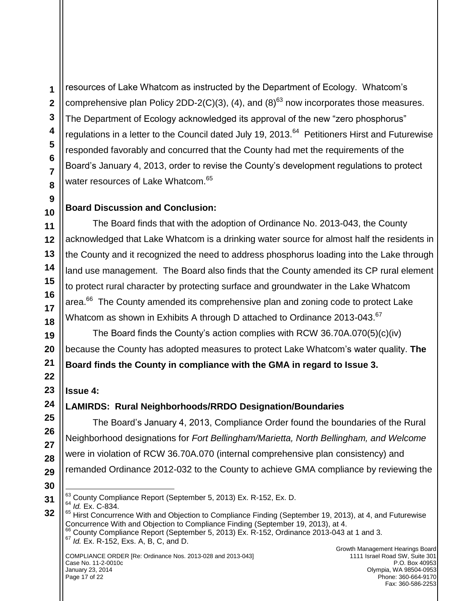**1**

resources of Lake Whatcom as instructed by the Department of Ecology. Whatcom"s comprehensive plan Policy 2DD-2(C)(3), (4), and (8)<sup>63</sup> now incorporates those measures. The Department of Ecology acknowledged its approval of the new "zero phosphorus" regulations in a letter to the Council dated July 19, 2013.<sup>64</sup> Petitioners Hirst and Futurewise responded favorably and concurred that the County had met the requirements of the Board's January 4, 2013, order to revise the County's development regulations to protect water resources of Lake Whatcom.<sup>65</sup>

## **Board Discussion and Conclusion:**

The Board finds that with the adoption of Ordinance No. 2013-043, the County acknowledged that Lake Whatcom is a drinking water source for almost half the residents in the County and it recognized the need to address phosphorus loading into the Lake through land use management. The Board also finds that the County amended its CP rural element to protect rural character by protecting surface and groundwater in the Lake Whatcom area.<sup>66</sup> The County amended its comprehensive plan and zoning code to protect Lake Whatcom as shown in Exhibits A through D attached to Ordinance 2013-043.<sup>67</sup>

The Board finds the County"s action complies with RCW 36.70A.070(5)(c)(iv) because the County has adopted measures to protect Lake Whatcom"s water quality. **The Board finds the County in compliance with the GMA in regard to Issue 3.** 

## **Issue 4:**

# **LAMIRDS: Rural Neighborhoods/RRDO Designation/Boundaries**

The Board"s January 4, 2013, Compliance Order found the boundaries of the Rural Neighborhood designations for *Fort Bellingham/Marietta, North Bellingham, and Welcome* were in violation of RCW 36.70A.070 (internal comprehensive plan consistency) and remanded Ordinance 2012-032 to the County to achieve GMA compliance by reviewing the

- $\overline{a}$  $^{63}$  County Compliance Report (September 5, 2013) Ex. R-152, Ex. D.
- <sup>64</sup> *Id.* Ex. C-834.
- <sup>65</sup> Hirst Concurrence With and Objection to Compliance Finding (September 19, 2013), at 4, and Futurewise Concurrence With and Objection to Compliance Finding (September 19, 2013), at 4. <sup>66</sup> County Compliance Report (September 5, 2013) Ex. R-152, Ordinance 2013-043 at 1 and 3. <sup>67</sup> *Id.* Ex. R-152, Exs. A, B, C, and D.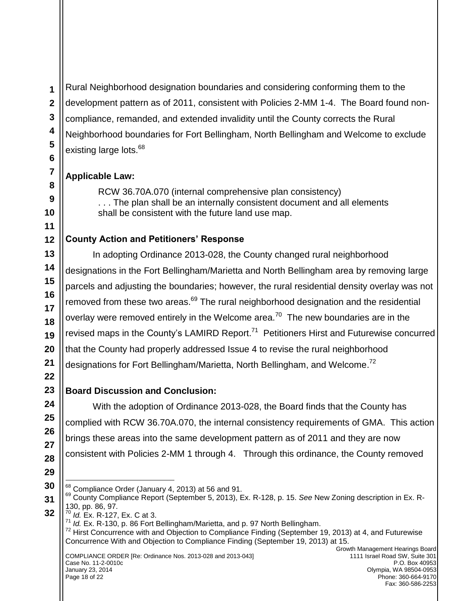Rural Neighborhood designation boundaries and considering conforming them to the development pattern as of 2011, consistent with Policies 2-MM 1-4. The Board found noncompliance, remanded, and extended invalidity until the County corrects the Rural Neighborhood boundaries for Fort Bellingham, North Bellingham and Welcome to exclude existing large lots.<sup>68</sup>

## **Applicable Law:**

RCW 36.70A.070 (internal comprehensive plan consistency) . . . The plan shall be an internally consistent document and all elements shall be consistent with the future land use map.

# **County Action and Petitioners' Response**

In adopting Ordinance 2013-028, the County changed rural neighborhood designations in the Fort Bellingham/Marietta and North Bellingham area by removing large parcels and adjusting the boundaries; however, the rural residential density overlay was not removed from these two areas.<sup>69</sup> The rural neighborhood designation and the residential overlay were removed entirely in the Welcome area.<sup>70</sup> The new boundaries are in the revised maps in the County's LAMIRD Report.<sup>71</sup> Petitioners Hirst and Futurewise concurred that the County had properly addressed Issue 4 to revise the rural neighborhood designations for Fort Bellingham/Marietta, North Bellingham, and Welcome.<sup>72</sup>

# **Board Discussion and Conclusion:**

With the adoption of Ordinance 2013-028, the Board finds that the County has complied with RCW 36.70A.070, the internal consistency requirements of GMA. This action brings these areas into the same development pattern as of 2011 and they are now consistent with Policies 2-MM 1 through 4. Through this ordinance, the County removed

<sup>70</sup> *Id.* Ex. R-127, Ex. C at 3.

71 *Id. Ex. R-130, p. 86 Fort Bellingham/Marietta, and p. 97 North Bellingham.* 

 $\overline{a}$  $68$  Compliance Order (January 4, 2013) at 56 and 91.

<sup>69</sup> County Compliance Report (September 5, 2013), Ex. R-128, p. 15. *See* New Zoning description in Ex. R-130, pp. 86, 97.

 $72$  Hirst Concurrence with and Objection to Compliance Finding (September 19, 2013) at 4, and Futurewise Concurrence With and Objection to Compliance Finding (September 19, 2013) at 15.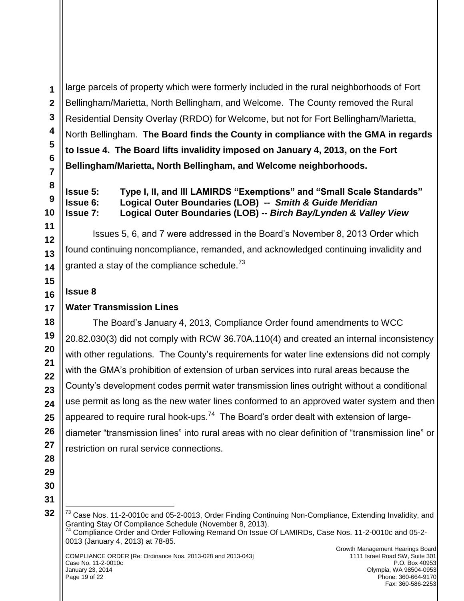large parcels of property which were formerly included in the rural neighborhoods of Fort Bellingham/Marietta, North Bellingham, and Welcome. The County removed the Rural Residential Density Overlay (RRDO) for Welcome, but not for Fort Bellingham/Marietta, North Bellingham. **The Board finds the County in compliance with the GMA in regards to Issue 4. The Board lifts invalidity imposed on January 4, 2013, on the Fort Bellingham/Marietta, North Bellingham, and Welcome neighborhoods.**

**Issue 5: Type I, II, and III LAMIRDS "Exemptions" and "Small Scale Standards" Issue 6: Logical Outer Boundaries (LOB) --** *Smith & Guide Meridian* **Issue 7: Logical Outer Boundaries (LOB) --** *Birch Bay/Lynden & Valley View*

Issues 5, 6, and 7 were addressed in the Board"s November 8, 2013 Order which found continuing noncompliance, remanded, and acknowledged continuing invalidity and granted a stay of the compliance schedule.<sup>73</sup>

## **Issue 8**

## **Water Transmission Lines**

The Board"s January 4, 2013, Compliance Order found amendments to WCC 20.82.030(3) did not comply with RCW 36.70A.110(4) and created an internal inconsistency with other regulations. The County's requirements for water line extensions did not comply with the GMA"s prohibition of extension of urban services into rural areas because the County"s development codes permit water transmission lines outright without a conditional use permit as long as the new water lines conformed to an approved water system and then appeared to require rural hook-ups.<sup>74</sup> The Board's order dealt with extension of largediameter "transmission lines" into rural areas with no clear definition of "transmission line" or restriction on rural service connections.

 $\overline{a}$ <sup>73</sup> Case Nos. 11-2-0010c and 05-2-0013, Order Finding Continuing Non-Compliance, Extending Invalidity, and Granting Stay Of Compliance Schedule (November 8, 2013).  $74$  Compliance Order and Order Following Remand On Issue Of LAMIRDs, Case Nos. 11-2-0010c and 05-2-0013 (January 4, 2013) at 78-85.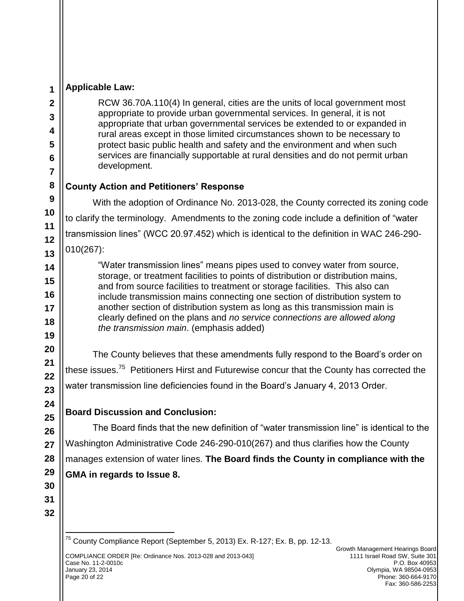#### **Applicable Law:**

RCW 36.70A.110(4) In general, cities are the units of local government most appropriate to provide urban governmental services. In general, it is not appropriate that urban governmental services be extended to or expanded in rural areas except in those limited circumstances shown to be necessary to protect basic public health and safety and the environment and when such services are financially supportable at rural densities and do not permit urban development.

## **County Action and Petitioners' Response**

With the adoption of Ordinance No. 2013-028, the County corrected its zoning code to clarify the terminology. Amendments to the zoning code include a definition of "water transmission lines" (WCC 20.97.452) which is identical to the definition in WAC 246-290- 010(267):

"Water transmission lines" means pipes used to convey water from source, storage, or treatment facilities to points of distribution or distribution mains, and from source facilities to treatment or storage facilities. This also can include transmission mains connecting one section of distribution system to another section of distribution system as long as this transmission main is clearly defined on the plans and *no service connections are allowed along the transmission main*. (emphasis added)

The County believes that these amendments fully respond to the Board"s order on these issues.<sup>75</sup> Petitioners Hirst and Futurewise concur that the County has corrected the water transmission line deficiencies found in the Board"s January 4, 2013 Order.

## **Board Discussion and Conclusion:**

The Board finds that the new definition of "water transmission line" is identical to the Washington Administrative Code 246-290-010(267) and thus clarifies how the County manages extension of water lines. **The Board finds the County in compliance with the GMA in regards to Issue 8.** 

 $\overline{a}$ 

<sup>&</sup>lt;sup>75</sup> County Compliance Report (September 5, 2013) Ex. R-127; Ex. B, pp. 12-13.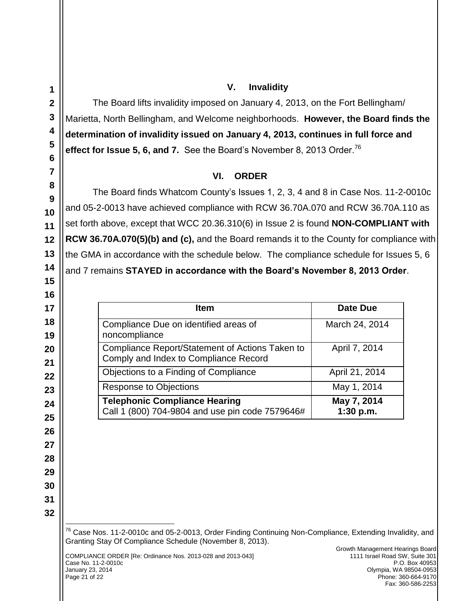$\overline{a}$ 

#### **V. Invalidity**

The Board lifts invalidity imposed on January 4, 2013, on the Fort Bellingham/ Marietta, North Bellingham, and Welcome neighborhoods. **However, the Board finds the determination of invalidity issued on January 4, 2013, continues in full force and effect for Issue 5, 6, and 7.** See the Board's November 8, 2013 Order.<sup>76</sup>

## **VI. ORDER**

The Board finds Whatcom County's Issues 1, 2, 3, 4 and 8 in Case Nos. 11-2-0010c and 05-2-0013 have achieved compliance with RCW 36.70A.070 and RCW 36.70A.110 as set forth above, except that WCC 20.36.310(6) in Issue 2 is found **NON-COMPLIANT with RCW 36.70A.070(5)(b) and (c),** and the Board remands it to the County for compliance with the GMA in accordance with the schedule below. The compliance schedule for Issues 5, 6 and 7 remains **STAYED in accordance with the Board's November 8, 2013 Order**.

| <b>Item</b>                                                                              | Date Due                 |
|------------------------------------------------------------------------------------------|--------------------------|
| Compliance Due on identified areas of<br>noncompliance                                   | March 24, 2014           |
| Compliance Report/Statement of Actions Taken to<br>Comply and Index to Compliance Record | April 7, 2014            |
| Objections to a Finding of Compliance                                                    | April 21, 2014           |
| <b>Response to Objections</b>                                                            | May 1, 2014              |
| <b>Telephonic Compliance Hearing</b><br>Call 1 (800) 704-9804 and use pin code 7579646#  | May 7, 2014<br>1:30 p.m. |

<sup>76</sup> Case Nos. 11-2-0010c and 05-2-0013, Order Finding Continuing Non-Compliance, Extending Invalidity, and Granting Stay Of Compliance Schedule (November 8, 2013).